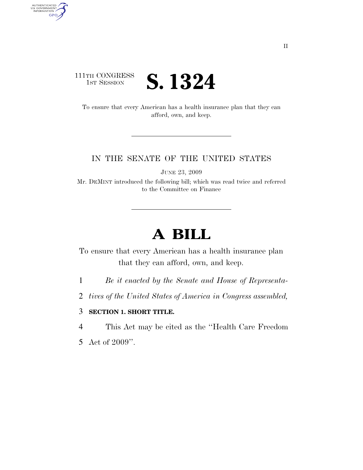### 111TH CONGRESS **IST SESSION S. 1324**

AUTHENTICATED<br>U.S. GOVERNMENT<br>INFORMATION GPO

> To ensure that every American has a health insurance plan that they can afford, own, and keep.

### IN THE SENATE OF THE UNITED STATES

JUNE 23, 2009

Mr. DEMINT introduced the following bill; which was read twice and referred to the Committee on Finance

# **A BILL**

To ensure that every American has a health insurance plan that they can afford, own, and keep.

1 *Be it enacted by the Senate and House of Representa-*

2 *tives of the United States of America in Congress assembled,* 

### 3 **SECTION 1. SHORT TITLE.**

4 This Act may be cited as the ''Health Care Freedom

5 Act of 2009''.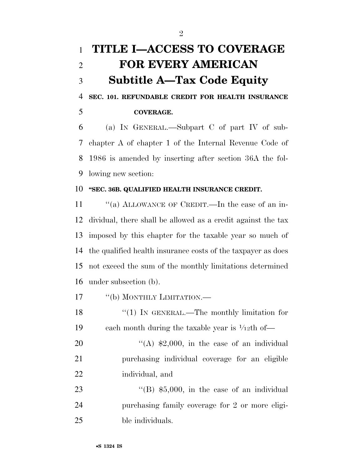# **TITLE I—ACCESS TO COVERAGE FOR EVERY AMERICAN Subtitle A—Tax Code Equity**

 **SEC. 101. REFUNDABLE CREDIT FOR HEALTH INSURANCE COVERAGE.** 

 (a) IN GENERAL.—Subpart C of part IV of sub- chapter A of chapter 1 of the Internal Revenue Code of 1986 is amended by inserting after section 36A the fol-lowing new section:

### **''SEC. 36B. QUALIFIED HEALTH INSURANCE CREDIT.**

11 "(a) ALLOWANCE OF CREDIT.—In the case of an in- dividual, there shall be allowed as a credit against the tax imposed by this chapter for the taxable year so much of the qualified health insurance costs of the taxpayer as does not exceed the sum of the monthly limitations determined under subsection (b).

17 "(b) MONTHLY LIMITATION.—

18 "(1) IN GENERAL.—The monthly limitation for 19 – each month during the taxable year is  $\frac{1}{12}$ th of—

20  $((A)$  \$2,000, in the case of an individual purchasing individual coverage for an eligible individual, and

23 "'(B) \$5,000, in the case of an individual purchasing family coverage for 2 or more eligi-ble individuals.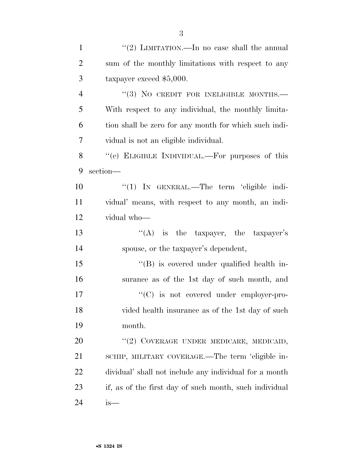| $\mathbf{1}$   | "(2) LIMITATION.—In no case shall the annual           |
|----------------|--------------------------------------------------------|
| 2              | sum of the monthly limitations with respect to any     |
| 3              | taxpayer exceed $$5,000$ .                             |
| $\overline{4}$ | "(3) NO CREDIT FOR INELIGIBLE MONTHS.                  |
| 5              | With respect to any individual, the monthly limita-    |
| 6              | tion shall be zero for any month for which such indi-  |
| 7              | vidual is not an eligible individual.                  |
| 8              | "(c) ELIGIBLE INDIVIDUAL.—For purposes of this         |
| 9              | section-                                               |
| 10             | " $(1)$ IN GENERAL.—The term 'eligible indi-           |
| 11             | vidual' means, with respect to any month, an indi-     |
| 12             | vidual who-                                            |
| 13             | "(A) is the taxpayer, the taxpayer's                   |
| 14             | spouse, or the taxpayer's dependent,                   |
| 15             | "(B) is covered under qualified health in-             |
| 16             | surance as of the 1st day of such month, and           |
| 17             | $\cdot$ (C) is not covered under employer-pro-         |
| 18             | vided health insurance as of the 1st day of such       |
| 19             | month.                                                 |
| 20             | "(2) COVERAGE UNDER MEDICARE, MEDICAID,                |
| 21             | SCHIP, MILITARY COVERAGE.—The term 'eligible in-       |
| 22             | dividual' shall not include any individual for a month |
| 23             | if, as of the first day of such month, such individual |
| 24             | is—                                                    |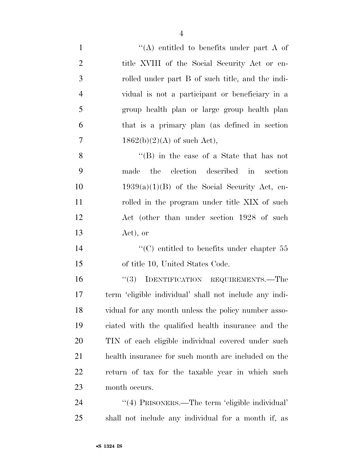- 1  $\langle A \rangle$  entitled to benefits under part A of 2 title XVIII of the Social Security Act or en- rolled under part B of such title, and the indi- vidual is not a participant or beneficiary in a group health plan or large group health plan that is a primary plan (as defined in section 7 1862(b)(2)(A) of such Act), ''(B) in the case of a State that has not made the election described in section 10  $1939(a)(1)(B)$  of the Social Security Act, en-11 rolled in the program under title XIX of such Act (other than under section 1928 of such
- Act), or
- 14  $\cdot$  (C) entitled to benefits under chapter 55 of title 10, United States Code.

16 "(3) IDENTIFICATION REQUIREMENTS.—The term 'eligible individual' shall not include any indi- vidual for any month unless the policy number asso- ciated with the qualified health insurance and the TIN of each eligible individual covered under such health insurance for such month are included on the return of tax for the taxable year in which such month occurs.

 ''(4) PRISONERS.—The term 'eligible individual' shall not include any individual for a month if, as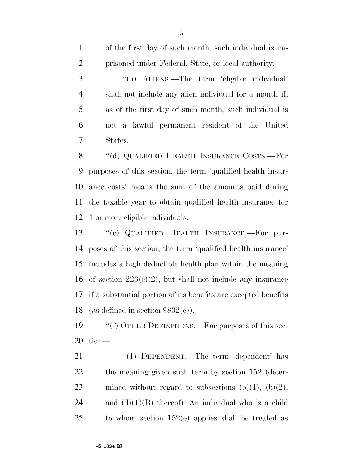of the first day of such month, such individual is im- prisoned under Federal, State, or local authority. ''(5) ALIENS.—The term 'eligible individual' shall not include any alien individual for a month if, as of the first day of such month, such individual is not a lawful permanent resident of the United States. 8 "(d) QUALIFIED HEALTH INSURANCE COSTS.—For purposes of this section, the term 'qualified health insur-

 ance costs' means the sum of the amounts paid during the taxable year to obtain qualified health insurance for 1 or more eligible individuals.

 ''(e) QUALIFIED HEALTH INSURANCE.—For pur- poses of this section, the term 'qualified health insurance' includes a high deductible health plan within the meaning 16 of section  $223(c)(2)$ , but shall not include any insurance if a substantial portion of its benefits are excepted benefits 18 (as defined in section  $9832(e)$ ).

 ''(f) OTHER DEFINITIONS.—For purposes of this sec-tion—

21 "(1) DEPENDENT.—The term 'dependent' has the meaning given such term by section 152 (deter-23 mined without regard to subsections  $(b)(1)$ ,  $(b)(2)$ , 24 and  $(d)(1)(B)$  thereof). An individual who is a child to whom section 152(e) applies shall be treated as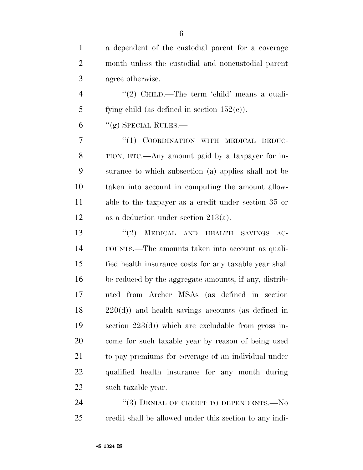| $\mathbf{1}$   | a dependent of the custodial parent for a coverage     |
|----------------|--------------------------------------------------------|
| $\overline{2}$ | month unless the custodial and noncustodial parent     |
| 3              | agree otherwise.                                       |
| $\overline{4}$ | "(2) CHILD.—The term 'child' means a quali-            |
| 5              | fying child (as defined in section $152(c)$ ).         |
| 6              | "(g) SPECIAL RULES.—                                   |
| 7              | "(1) COORDINATION WITH MEDICAL DEDUC-                  |
| 8              | TION, ETC.—Any amount paid by a taxpayer for in-       |
| 9              | surance to which subsection (a) applies shall not be   |
| 10             | taken into account in computing the amount allow-      |
| 11             | able to the taxpayer as a credit under section 35 or   |
| 12             | as a deduction under section $213(a)$ .                |
| 13             | MEDICAL AND HEALTH SAVINGS<br>(2)<br>$AC-$             |
| 14             | COUNTS.—The amounts taken into account as quali-       |
| 15             | fied health insurance costs for any taxable year shall |
| 16             | be reduced by the aggregate amounts, if any, distrib-  |
| 17             | uted from Archer MSAs (as defined in section           |
| 18             | $220(d)$ ) and health savings accounts (as defined in  |
| 19             | section $223(d)$ ) which are excludable from gross in- |
| 20             | come for such taxable year by reason of being used     |
| 21             | to pay premiums for coverage of an individual under    |
| 22             | qualified health insurance for any month during        |
| 23             | such taxable year.                                     |
| 24             | "(3) DENIAL OF CREDIT TO DEPENDENTS.— $No$             |

credit shall be allowed under this section to any indi-

•**S 1324 IS**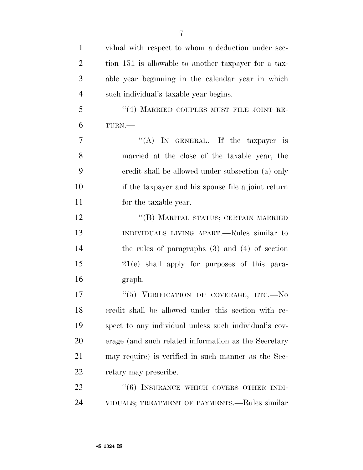| $\mathbf{1}$   | vidual with respect to whom a deduction under sec-    |
|----------------|-------------------------------------------------------|
| $\overline{2}$ | tion 151 is allowable to another taxpayer for a tax-  |
| 3              | able year beginning in the calendar year in which     |
| $\overline{4}$ | such individual's taxable year begins.                |
| 5              | $``(4)$ MARRIED COUPLES MUST FILE JOINT RE-           |
| 6              | TURN.-                                                |
| $\overline{7}$ | "(A) IN GENERAL.—If the taxpayer is                   |
| 8              | married at the close of the taxable year, the         |
| 9              | credit shall be allowed under subsection (a) only     |
| 10             | if the taxpayer and his spouse file a joint return    |
| 11             | for the taxable year.                                 |
| 12             | "(B) MARITAL STATUS; CERTAIN MARRIED                  |
| 13             | INDIVIDUALS LIVING APART.—Rules similar to            |
| 14             | the rules of paragraphs $(3)$ and $(4)$ of section    |
| 15             | $21(e)$ shall apply for purposes of this para-        |
| 16             | graph.                                                |
| 17             | "(5) VERIFICATION OF COVERAGE, ETC.-No                |
| 18             | credit shall be allowed under this section with re-   |
| 19             | spect to any individual unless such individual's cov- |
| <b>20</b>      | erage (and such related information as the Secretary  |
| 21             | may require) is verified in such manner as the Sec-   |
| 22             | retary may prescribe.                                 |
| 23             | "(6) INSURANCE WHICH COVERS OTHER INDI-               |
| 24             | VIDUALS; TREATMENT OF PAYMENTS.—Rules similar         |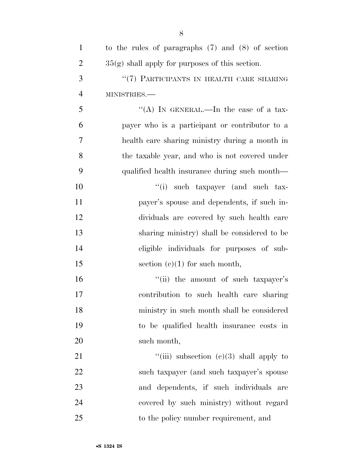| $\mathbf{1}$   | to the rules of paragraphs $(7)$ and $(8)$ of section |
|----------------|-------------------------------------------------------|
| 2              | $35(g)$ shall apply for purposes of this section.     |
| 3              | "(7) PARTICIPANTS IN HEALTH CARE SHARING              |
| $\overline{4}$ | MINISTRIES.-                                          |
| 5              | "(A) IN GENERAL.—In the case of a tax-                |
| 6              | payer who is a participant or contributor to a        |
| 7              | health care sharing ministry during a month in        |
| 8              | the taxable year, and who is not covered under        |
| 9              | qualified health insurance during such month—         |
| 10             | "(i) such taxpayer (and such tax-                     |
| 11             | payer's spouse and dependents, if such in-            |
| 12             | dividuals are covered by such health care             |
| 13             | sharing ministry) shall be considered to be           |
| 14             | eligible individuals for purposes of sub-             |
| 15             | section $(e)(1)$ for such month,                      |
| 16             | "(ii) the amount of such taxpayer's                   |
| 17             | contribution to such health care sharing              |
| 18             | ministry in such month shall be considered            |
| 19             | to be qualified health insurance costs in             |
| 20             | such month,                                           |
| 21             | "(iii) subsection $(c)(3)$ shall apply to             |
| <u>22</u>      | such taxpayer (and such taxpayer's spouse             |
| 23             | and dependents, if such individuals<br>are            |
| 24             | covered by such ministry) without regard              |
| 25             | to the policy number requirement, and                 |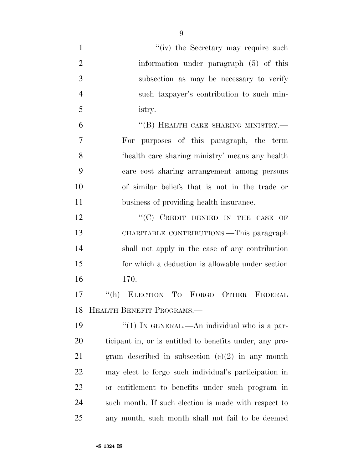| $\mathbf{1}$   | "(iv) the Secretary may require such                    |
|----------------|---------------------------------------------------------|
| $\overline{2}$ | information under paragraph (5) of this                 |
| 3              | subsection as may be necessary to verify                |
| $\overline{4}$ | such taxpayer's contribution to such min-               |
| 5              | istry.                                                  |
| 6              | "(B) HEALTH CARE SHARING MINISTRY.-                     |
| 7              | For purposes of this paragraph, the term                |
| 8              | 'health care sharing ministry' means any health         |
| 9              | care cost sharing arrangement among persons             |
| 10             | of similar beliefs that is not in the trade or          |
| 11             | business of providing health insurance.                 |
| 12             | $``(C)$ CREDIT DENIED IN THE CASE<br>OF                 |
| 13             | CHARITABLE CONTRIBUTIONS.—This paragraph                |
| 14             | shall not apply in the case of any contribution         |
| 15             | for which a deduction is allowable under section        |
| 16             | 170.                                                    |
| 17             | "(h) ELECTION TO FORGO OTHER FEDERAL                    |
| 18             | HEALTH BENEFIT PROGRAMS.-                               |
| 19             | "(1) IN GENERAL.—An individual who is a par-            |
| 20             | ticipant in, or is entitled to benefits under, any pro- |
| 21             | gram described in subsection $(c)(2)$ in any month      |
| 22             | may elect to forgo such individual's participation in   |
| 23             | or entitlement to benefits under such program in        |
| 24             | such month. If such election is made with respect to    |
| 25             | any month, such month shall not fail to be deemed       |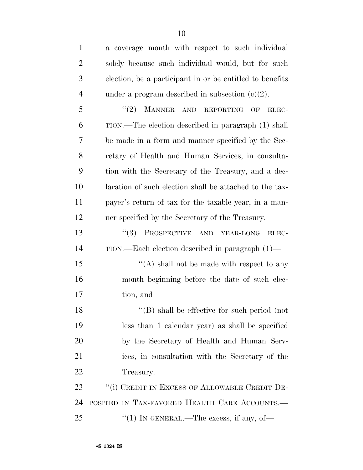| $\mathbf{1}$   | a coverage month with respect to such individual         |
|----------------|----------------------------------------------------------|
| $\overline{2}$ | solely because such individual would, but for such       |
| 3              | election, be a participant in or be entitled to benefits |
| $\overline{4}$ | under a program described in subsection $(c)(2)$ .       |
| 5              | MANNER AND REPORTING<br>(2)<br>OF<br>ELEC-               |
| 6              | TION.—The election described in paragraph (1) shall      |
| 7              | be made in a form and manner specified by the Sec-       |
| 8              | retary of Health and Human Services, in consulta-        |
| 9              | tion with the Secretary of the Treasury, and a dec-      |
| 10             | laration of such election shall be attached to the tax-  |
| 11             | payer's return of tax for the taxable year, in a man-    |
| 12             | ner specified by the Secretary of the Treasury.          |
| 13             | PROSPECTIVE AND YEAR-LONG<br>(3)<br>ELEC-                |
| 14             | $TION.$ —Each election described in paragraph $(1)$ —    |
| 15             | "(A) shall not be made with respect to any               |
| 16             | month beginning before the date of such elec-            |
| 17             | tion, and                                                |
| 18             | $\lq\lq$ (B) shall be effective for such period (not     |
| 19             | less than 1 calendar year) as shall be specified         |
| 20             | by the Secretary of Health and Human Serv-               |
| 21             | ices, in consultation with the Secretary of the          |
| 22             | Treasury.                                                |
| 23             | "(i) CREDIT IN EXCESS OF ALLOWABLE CREDIT DE-            |
| 24             | POSITED IN TAX-FAVORED HEALTH CARE ACCOUNTS.             |
| 25             | "(1) IN GENERAL.—The excess, if any, of—                 |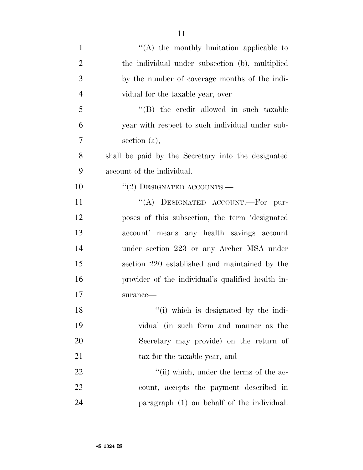| $\mathbf{1}$   | $\lq\lq$ the monthly limitation applicable to      |
|----------------|----------------------------------------------------|
| $\overline{2}$ | the individual under subsection (b), multiplied    |
| 3              | by the number of coverage months of the indi-      |
| $\overline{4}$ | vidual for the taxable year, over                  |
| 5              | "(B) the credit allowed in such taxable            |
| 6              | year with respect to such individual under sub-    |
| 7              | section (a),                                       |
| 8              | shall be paid by the Secretary into the designated |
| 9              | account of the individual.                         |
| 10             | $``(2)$ DESIGNATED ACCOUNTS.—                      |
| 11             | "(A) DESIGNATED ACCOUNT.—For pur-                  |
| 12             | poses of this subsection, the term 'designated     |
| 13             | account' means any health savings account          |
| 14             | under section 223 or any Archer MSA under          |
| 15             | section 220 established and maintained by the      |
| 16             | provider of the individual's qualified health in-  |
| 17             | surance-                                           |
| 18             | "(i) which is designated by the indi-              |
| 19             | vidual (in such form and manner as the             |
| 20             | Secretary may provide) on the return of            |
| 21             | tax for the taxable year, and                      |
| 22             | "(ii) which, under the terms of the ac-            |
| 23             | count, accepts the payment described in            |
| 24             | paragraph (1) on behalf of the individual.         |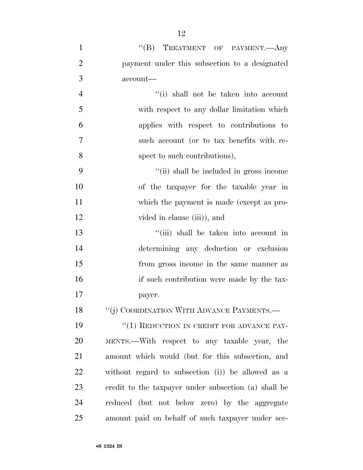| $\mathbf{1}$   | "(B) TREATMENT OF PAYMENT.—Any                       |
|----------------|------------------------------------------------------|
| $\overline{2}$ | payment under this subsection to a designated        |
| 3              | $account-$                                           |
| $\overline{4}$ | "(i) shall not be taken into account                 |
| 5              | with respect to any dollar limitation which          |
| 6              | applies with respect to contributions to             |
| 7              | such account (or to tax benefits with re-            |
| 8              | spect to such contributions),                        |
| 9              | "(ii) shall be included in gross income              |
| 10             | of the taxpayer for the taxable year in              |
| 11             | which the payment is made (except as pro-            |
| 12             | vided in clause (iii), and                           |
| 13             | "(iii) shall be taken into account in                |
| 14             | determining any deduction or exclusion               |
| 15             | from gross income in the same manner as              |
| 16             | if such contribution were made by the tax-           |
| 17             | payer.                                               |
| 18             | "(j) COORDINATION WITH ADVANCE PAYMENTS.—            |
| 19             | "(1) REDUCTION IN CREDIT FOR ADVANCE PAY-            |
| 20             | MENTS.—With respect to any taxable year, the         |
| 21             | amount which would (but for this subsection, and     |
| 22             | without regard to subsection (i)) be allowed as a    |
| 23             | credit to the taxpayer under subsection (a) shall be |
| 24             | reduced (but not below zero) by the aggregate        |
| 25             | amount paid on behalf of such taxpayer under sec-    |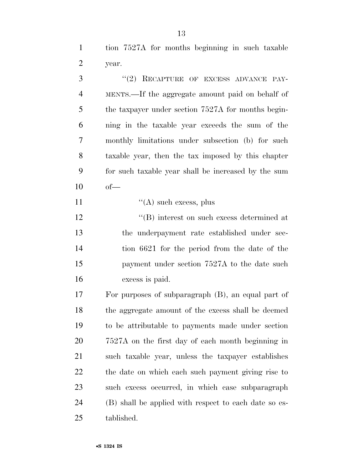tion 7527A for months beginning in such taxable year.

3 "(2) RECAPTURE OF EXCESS ADVANCE PAY- MENTS.—If the aggregate amount paid on behalf of the taxpayer under section 7527A for months begin- ning in the taxable year exceeds the sum of the monthly limitations under subsection (b) for such taxable year, then the tax imposed by this chapter for such taxable year shall be increased by the sum  $10 \t of$  $"({\rm A})$  such excess, plus  $\langle$  (B) interest on such excess determined at the underpayment rate established under sec- tion 6621 for the period from the date of the 15 payment under section 7527A to the date such excess is paid. For purposes of subparagraph (B), an equal part of the aggregate amount of the excess shall be deemed to be attributable to payments made under section 7527A on the first day of each month beginning in such taxable year, unless the taxpayer establishes the date on which each such payment giving rise to such excess occurred, in which case subparagraph

 (B) shall be applied with respect to each date so es-tablished.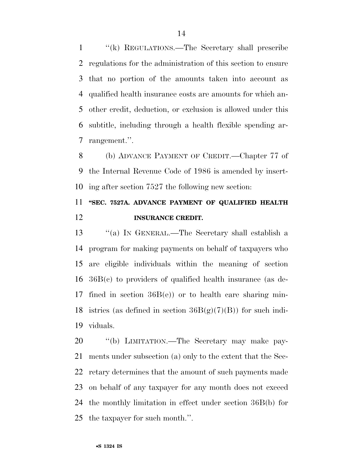''(k) REGULATIONS.—The Secretary shall prescribe regulations for the administration of this section to ensure that no portion of the amounts taken into account as qualified health insurance costs are amounts for which an- other credit, deduction, or exclusion is allowed under this subtitle, including through a health flexible spending ar-rangement.''.

 (b) ADVANCE PAYMENT OF CREDIT.—Chapter 77 of the Internal Revenue Code of 1986 is amended by insert-ing after section 7527 the following new section:

### **''SEC. 7527A. ADVANCE PAYMENT OF QUALIFIED HEALTH INSURANCE CREDIT.**

 ''(a) IN GENERAL.—The Secretary shall establish a program for making payments on behalf of taxpayers who are eligible individuals within the meaning of section 36B(c) to providers of qualified health insurance (as de- fined in section 36B(e)) or to health care sharing min-18 istries (as defined in section  $36B(g)(7)(B)$ ) for such indi-viduals.

 ''(b) LIMITATION.—The Secretary may make pay- ments under subsection (a) only to the extent that the Sec- retary determines that the amount of such payments made on behalf of any taxpayer for any month does not exceed the monthly limitation in effect under section 36B(b) for the taxpayer for such month.''.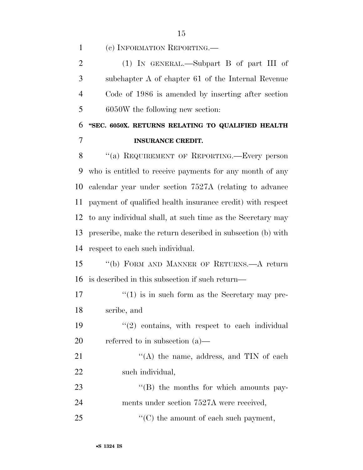(c) INFORMATION REPORTING.—

 (1) IN GENERAL.—Subpart B of part III of subchapter A of chapter 61 of the Internal Revenue Code of 1986 is amended by inserting after section 6050W the following new section:

### **''SEC. 6050X. RETURNS RELATING TO QUALIFIED HEALTH INSURANCE CREDIT.**

8 "(a) REQUIREMENT OF REPORTING.—Every person who is entitled to receive payments for any month of any calendar year under section 7527A (relating to advance payment of qualified health insurance credit) with respect to any individual shall, at such time as the Secretary may prescribe, make the return described in subsection (b) with respect to each such individual.

 ''(b) FORM AND MANNER OF RETURNS.—A return is described in this subsection if such return—

 $\frac{17}{17}$  ''(1) is in such form as the Secretary may pre-scribe, and

 $(2)$  contains, with respect to each individual referred to in subsection (a)—

21 "'(A) the name, address, and TIN of each such individual,

23  $\langle G \rangle$  the months for which amounts pay-ments under section 7527A were received,

25  $\bullet$   $\bullet$  (C) the amount of each such payment,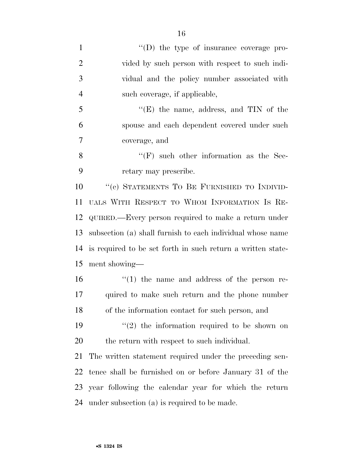| $\mathbf{1}$   | $\lq\lq$ the type of insurance coverage pro-                |
|----------------|-------------------------------------------------------------|
| $\overline{2}$ | vided by such person with respect to such indi-             |
| 3              | vidual and the policy number associated with                |
| $\overline{4}$ | such coverage, if applicable,                               |
| 5              | $f(E)$ the name, address, and TIN of the                    |
| 6              | spouse and each dependent covered under such                |
| 7              | coverage, and                                               |
| 8              | $\lq\lq(F)$ such other information as the Sec-              |
| 9              | retary may prescribe.                                       |
| 10             | "(c) STATEMENTS TO BE FURNISHED TO INDIVID-                 |
| 11             | UALS WITH RESPECT TO WHOM INFORMATION IS RE-                |
| 12             | QUIRED.—Every person required to make a return under        |
| 13             | subsection (a) shall furnish to each individual whose name  |
| 14             | is required to be set forth in such return a written state- |
| 15             | ment showing—                                               |
| 16             | $\lq(1)$ the name and address of the person re-             |
| 17             | quired to make such return and the phone number             |
| 18             | of the information contact for such person, and             |
| 19             | $(2)$ the information required to be shown on               |
| 20             | the return with respect to such individual.                 |
| 21             | The written statement required under the preceding sen-     |
| 22             | tence shall be furnished on or before January 31 of the     |
| 23             | year following the calendar year for which the return       |
| 24             | under subsection (a) is required to be made.                |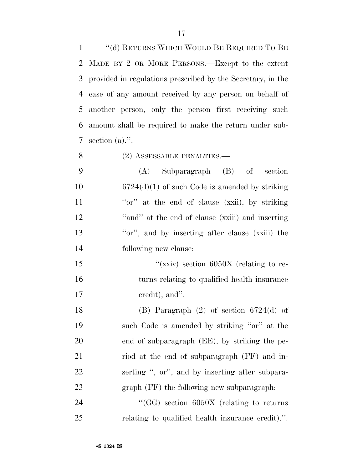''(d) RETURNS WHICH WOULD BE REQUIRED TO BE MADE BY 2 OR MORE PERSONS.—Except to the extent provided in regulations prescribed by the Secretary, in the case of any amount received by any person on behalf of another person, only the person first receiving such amount shall be required to make the return under sub-section (a).''.

8 (2) ASSESSABLE PENALTIES.—

 (A) Subparagraph (B) of section 10 6724(d)(1) of such Code is amended by striking 11 ''or'' at the end of clause (xxii), by striking ''and'' at the end of clause (xxiii) and inserting 13 ''or'', and by inserting after clause (xxiii) the following new clause:

15  $\frac{1}{\text{xxiv}}$  section 6050X (relating to re- turns relating to qualified health insurance credit), and''.

 (B) Paragraph (2) of section 6724(d) of such Code is amended by striking ''or'' at the end of subparagraph (EE), by striking the pe- riod at the end of subparagraph (FF) and in- serting '', or'', and by inserting after subpara-graph (FF) the following new subparagraph:

24  $\text{``(GG)}$  section 6050X (relating to returns relating to qualified health insurance credit).''.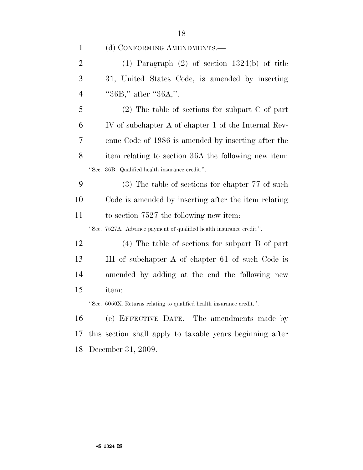(d) CONFORMING AMENDMENTS.—

|   | (1) Paragraph $(2)$ of section 1324(b) of title |
|---|-------------------------------------------------|
| 3 | 31, United States Code, is amended by inserting |
| 4 | " $36B$ ," after " $36A$ ,".                    |

 (2) The table of sections for subpart C of part IV of subchapter A of chapter 1 of the Internal Rev- enue Code of 1986 is amended by inserting after the item relating to section 36A the following new item: ''Sec. 36B. Qualified health insurance credit.''.

 (3) The table of sections for chapter 77 of such Code is amended by inserting after the item relating to section 7527 the following new item:

''Sec. 7527A. Advance payment of qualified health insurance credit.''.

 (4) The table of sections for subpart B of part III of subchapter A of chapter 61 of such Code is amended by adding at the end the following new item:

''Sec. 6050X. Returns relating to qualified health insurance credit.''.

 (e) EFFECTIVE DATE.—The amendments made by this section shall apply to taxable years beginning after December 31, 2009.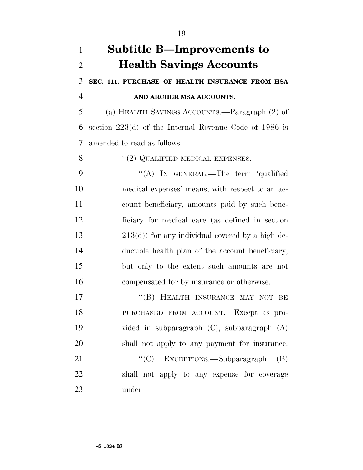| $\mathbf{1}$   | <b>Subtitle B—Improvements to</b>                        |
|----------------|----------------------------------------------------------|
| $\overline{2}$ | <b>Health Savings Accounts</b>                           |
| 3              | SEC. 111. PURCHASE OF HEALTH INSURANCE FROM HSA          |
| $\overline{4}$ | AND ARCHER MSA ACCOUNTS.                                 |
| 5              | (a) HEALTH SAVINGS ACCOUNTS.—Paragraph (2) of            |
| 6              | section $223(d)$ of the Internal Revenue Code of 1986 is |
| 7              | amended to read as follows:                              |
| 8              | $``(2)$ QUALIFIED MEDICAL EXPENSES.—                     |
| 9              | "(A) IN GENERAL.—The term 'qualified                     |
| 10             | medical expenses' means, with respect to an ac-          |
| 11             | count beneficiary, amounts paid by such bene-            |
| 12             | ficiary for medical care (as defined in section          |
| 13             | $213(d)$ ) for any individual covered by a high de-      |
| 14             | ductible health plan of the account beneficiary,         |
| 15             | but only to the extent such amounts are not              |
| 16             | compensated for by insurance or otherwise.               |
| 17             | "(B) HEALTH INSURANCE MAY NOT<br>BE                      |
| 18             | PURCHASED FROM ACCOUNT.—Except as pro-                   |
| 19             | vided in subparagraph $(C)$ , subparagraph $(A)$         |
| 20             | shall not apply to any payment for insurance.            |
| 21             | "(C) EXCEPTIONS.—Subparagraph<br>(B)                     |
| 22             | shall not apply to any expense for coverage              |
| 23             | under—                                                   |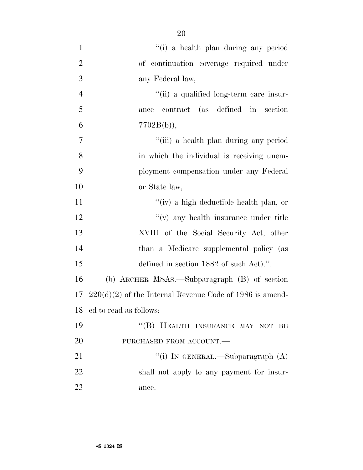| $\mathbf{1}$   | "(i) a health plan during any period                       |
|----------------|------------------------------------------------------------|
| $\overline{2}$ | of continuation coverage required under                    |
| 3              | any Federal law,                                           |
| $\overline{4}$ | "(ii) a qualified long-term care insur-                    |
| 5              | contract (as defined in section<br>ance                    |
| 6              | $7702B(b)$ ,                                               |
| $\overline{7}$ | "(iii) a health plan during any period                     |
| 8              | in which the individual is receiving unem-                 |
| 9              | ployment compensation under any Federal                    |
| 10             | or State law,                                              |
| 11             | "(iv) a high deductible health plan, or                    |
| 12             | $f'(v)$ any health insurance under title                   |
| 13             | XVIII of the Social Security Act, other                    |
| 14             | than a Medicare supplemental policy (as                    |
| 15             | defined in section 1882 of such Act).".                    |
| 16             | (b) ARCHER MSAs.—Subparagraph (B) of section               |
| 17             | $220(d)(2)$ of the Internal Revenue Code of 1986 is amend- |
|                | 18 ed to read as follows:                                  |
| 19             | "(B) HEALTH INSURANCE MAY NOT BE                           |
| 20             | PURCHASED FROM ACCOUNT.                                    |
| 21             | "(i) IN GENERAL.—Subparagraph $(A)$                        |
| 22             | shall not apply to any payment for insur-                  |
| 23             | ance.                                                      |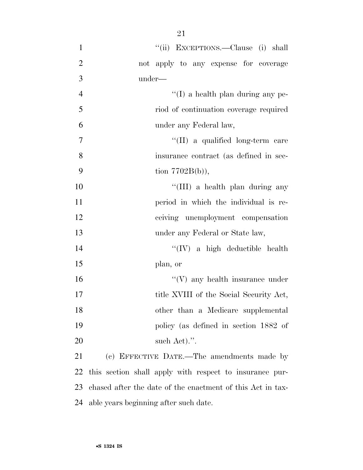| $\mathbf{1}$   | "(ii) EXCEPTIONS.—Clause (i) shall                         |
|----------------|------------------------------------------------------------|
| $\overline{2}$ | not apply to any expense for coverage                      |
| 3              | under—                                                     |
| $\overline{4}$ | $\lq\lq$ (I) a health plan during any pe-                  |
| 5              | riod of continuation coverage required                     |
| 6              | under any Federal law,                                     |
| $\tau$         | "(II) a qualified long-term care                           |
| 8              | insurance contract (as defined in sec-                     |
| 9              | tion $7702B(b)$ ,                                          |
| 10             | "(III) a health plan during any                            |
| 11             | period in which the individual is re-                      |
| 12             | ceiving unemployment compensation                          |
| 13             | under any Federal or State law,                            |
| 14             | $\lq\lq (IV)$ a high deductible health                     |
| 15             | plan, or                                                   |
| 16             | $\lq\lq(V)$ any health insurance under                     |
| 17             | title XVIII of the Social Security Act,                    |
| 18             | other than a Medicare supplemental                         |
| 19             | policy (as defined in section 1882 of                      |
| 20             | such Act).".                                               |
| 21             | (c) EFFECTIVE DATE.—The amendments made by                 |
| 22             | this section shall apply with respect to insurance pur-    |
| 23             | chased after the date of the enactment of this Act in tax- |
|                |                                                            |

able years beginning after such date.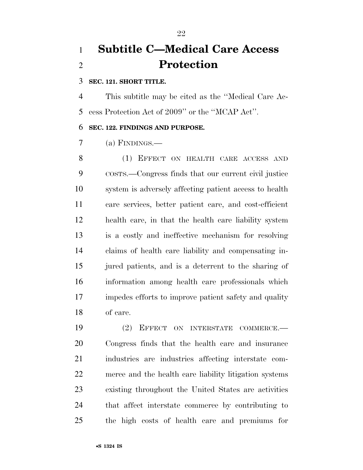## **Subtitle C—Medical Care Access Protection**

### **SEC. 121. SHORT TITLE.**

 This subtitle may be cited as the ''Medical Care Ac-cess Protection Act of 2009'' or the ''MCAP Act''.

### **SEC. 122. FINDINGS AND PURPOSE.**

(a) FINDINGS.—

 (1) EFFECT ON HEALTH CARE ACCESS AND COSTS.—Congress finds that our current civil justice system is adversely affecting patient access to health care services, better patient care, and cost-efficient health care, in that the health care liability system is a costly and ineffective mechanism for resolving claims of health care liability and compensating in- jured patients, and is a deterrent to the sharing of information among health care professionals which impedes efforts to improve patient safety and quality of care.

 (2) EFFECT ON INTERSTATE COMMERCE.— Congress finds that the health care and insurance industries are industries affecting interstate com- merce and the health care liability litigation systems existing throughout the United States are activities that affect interstate commerce by contributing to the high costs of health care and premiums for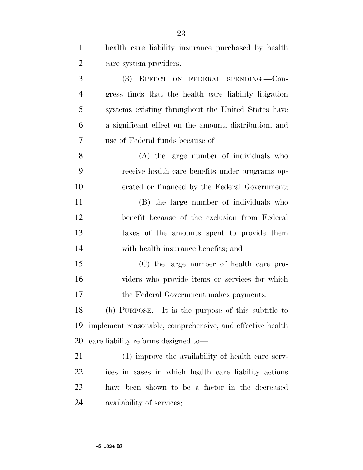| $\mathbf{1}$   | health care liability insurance purchased by health       |
|----------------|-----------------------------------------------------------|
| $\overline{2}$ | care system providers.                                    |
| 3              | (3) EFFECT ON FEDERAL SPENDING.-Con-                      |
| $\overline{4}$ | gress finds that the health care liability litigation     |
| 5              | systems existing throughout the United States have        |
| 6              | a significant effect on the amount, distribution, and     |
| $\overline{7}$ | use of Federal funds because of—                          |
| 8              | (A) the large number of individuals who                   |
| 9              | receive health care benefits under programs op-           |
| 10             | erated or financed by the Federal Government;             |
| 11             | (B) the large number of individuals who                   |
| 12             | benefit because of the exclusion from Federal             |
| 13             | taxes of the amounts spent to provide them                |
| 14             | with health insurance benefits; and                       |
| 15             | (C) the large number of health care pro-                  |
| 16             | viders who provide items or services for which            |
| 17             | the Federal Government makes payments.                    |
| 18             | (b) PURPOSE.—It is the purpose of this subtitle to        |
| 19             | implement reasonable, comprehensive, and effective health |
| 20             | care liability reforms designed to-                       |
| 21             | (1) improve the availability of health care serv-         |
| 22             | ices in cases in which health care liability actions      |
| 23             | have been shown to be a factor in the decreased           |
| 24             | availability of services;                                 |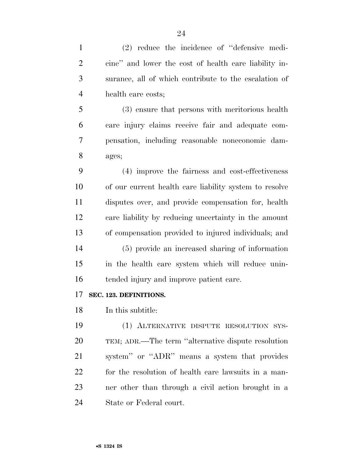| $\mathbf{1}$   | $(2)$ reduce the incidence of "defensive medi-         |
|----------------|--------------------------------------------------------|
| $\overline{2}$ | cine" and lower the cost of health care liability in-  |
| 3              | surance, all of which contribute to the escalation of  |
| $\overline{4}$ | health care costs;                                     |
| 5              | (3) ensure that persons with meritorious health        |
| 6              | care injury claims receive fair and adequate com-      |
| 7              | pensation, including reasonable noneconomic dam-       |
| 8              | ages;                                                  |
| 9              | (4) improve the fairness and cost-effectiveness        |
| 10             | of our current health care liability system to resolve |
| 11             | disputes over, and provide compensation for, health    |
| 12             | care liability by reducing uncertainty in the amount   |
| 13             | of compensation provided to injured individuals; and   |
| 14             | (5) provide an increased sharing of information        |
| 15             | in the health care system which will reduce unin-      |
| 16             | tended injury and improve patient care.                |
| 17             | SEC. 123. DEFINITIONS.                                 |
| 18             | In this subtitle:                                      |
| 19             | (1) ALTERNATIVE DISPUTE RESOLUTION SYS-                |
| 20             | TEM; ADR.—The term "alternative dispute resolution"    |
| 21             | system" or "ADR" means a system that provides          |
| 22             | for the resolution of health care lawsuits in a man-   |
| 23             | ner other than through a civil action brought in a     |
| 24             | State or Federal court.                                |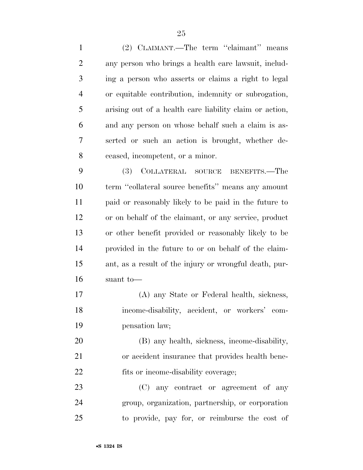(2) CLAIMANT.—The term ''claimant'' means any person who brings a health care lawsuit, includ- ing a person who asserts or claims a right to legal or equitable contribution, indemnity or subrogation, arising out of a health care liability claim or action, and any person on whose behalf such a claim is as- serted or such an action is brought, whether de-ceased, incompetent, or a minor.

 (3) COLLATERAL SOURCE BENEFITS.—The term ''collateral source benefits'' means any amount paid or reasonably likely to be paid in the future to or on behalf of the claimant, or any service, product or other benefit provided or reasonably likely to be provided in the future to or on behalf of the claim- ant, as a result of the injury or wrongful death, pur-suant to—

 (A) any State or Federal health, sickness, income-disability, accident, or workers' com-pensation law;

 (B) any health, sickness, income-disability, or accident insurance that provides health bene-22 fits or income-disability coverage;

 (C) any contract or agreement of any group, organization, partnership, or corporation to provide, pay for, or reimburse the cost of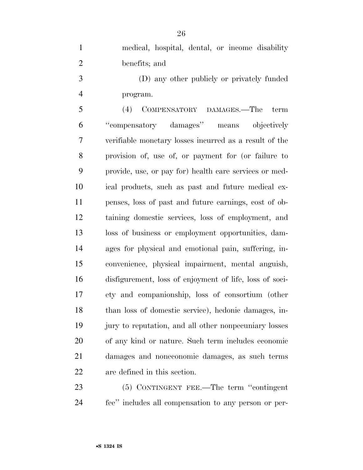medical, hospital, dental, or income disability benefits; and

 (D) any other publicly or privately funded program.

 (4) COMPENSATORY DAMAGES.—The term ''compensatory damages'' means objectively verifiable monetary losses incurred as a result of the provision of, use of, or payment for (or failure to provide, use, or pay for) health care services or med- ical products, such as past and future medical ex- penses, loss of past and future earnings, cost of ob- taining domestic services, loss of employment, and loss of business or employment opportunities, dam- ages for physical and emotional pain, suffering, in- convenience, physical impairment, mental anguish, disfigurement, loss of enjoyment of life, loss of soci- ety and companionship, loss of consortium (other than loss of domestic service), hedonic damages, in- jury to reputation, and all other nonpecuniary losses of any kind or nature. Such term includes economic damages and noneconomic damages, as such terms are defined in this section.

 (5) CONTINGENT FEE.—The term ''contingent fee'' includes all compensation to any person or per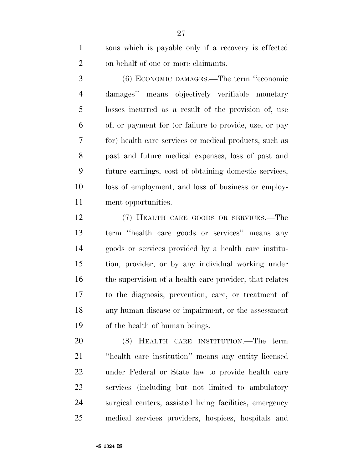sons which is payable only if a recovery is effected on behalf of one or more claimants.

 (6) ECONOMIC DAMAGES.—The term ''economic damages'' means objectively verifiable monetary losses incurred as a result of the provision of, use of, or payment for (or failure to provide, use, or pay for) health care services or medical products, such as past and future medical expenses, loss of past and future earnings, cost of obtaining domestic services, loss of employment, and loss of business or employ-ment opportunities.

 (7) HEALTH CARE GOODS OR SERVICES.—The term ''health care goods or services'' means any goods or services provided by a health care institu- tion, provider, or by any individual working under 16 the supervision of a health care provider, that relates to the diagnosis, prevention, care, or treatment of any human disease or impairment, or the assessment of the health of human beings.

 (8) HEALTH CARE INSTITUTION.—The term ''health care institution'' means any entity licensed under Federal or State law to provide health care services (including but not limited to ambulatory surgical centers, assisted living facilities, emergency medical services providers, hospices, hospitals and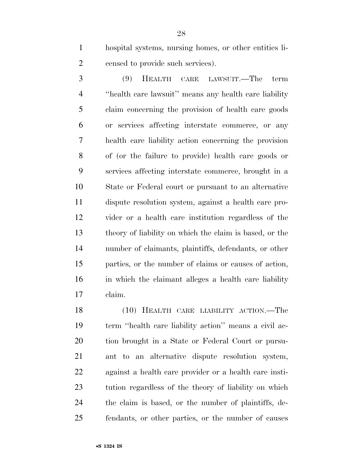hospital systems, nursing homes, or other entities li-censed to provide such services).

 (9) HEALTH CARE LAWSUIT.—The term ''health care lawsuit'' means any health care liability claim concerning the provision of health care goods or services affecting interstate commerce, or any health care liability action concerning the provision of (or the failure to provide) health care goods or services affecting interstate commerce, brought in a State or Federal court or pursuant to an alternative dispute resolution system, against a health care pro- vider or a health care institution regardless of the theory of liability on which the claim is based, or the number of claimants, plaintiffs, defendants, or other parties, or the number of claims or causes of action, in which the claimant alleges a health care liability claim.

 (10) HEALTH CARE LIABILITY ACTION.—The term ''health care liability action'' means a civil ac- tion brought in a State or Federal Court or pursu- ant to an alternative dispute resolution system, against a health care provider or a health care insti- tution regardless of the theory of liability on which the claim is based, or the number of plaintiffs, de-fendants, or other parties, or the number of causes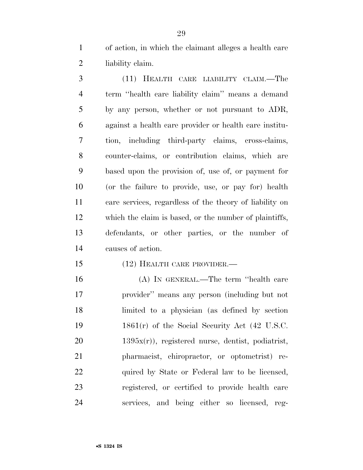of action, in which the claimant alleges a health care liability claim.

 (11) HEALTH CARE LIABILITY CLAIM.—The term ''health care liability claim'' means a demand by any person, whether or not pursuant to ADR, against a health care provider or health care institu- tion, including third-party claims, cross-claims, counter-claims, or contribution claims, which are based upon the provision of, use of, or payment for (or the failure to provide, use, or pay for) health care services, regardless of the theory of liability on which the claim is based, or the number of plaintiffs, defendants, or other parties, or the number of causes of action.

(12) HEALTH CARE PROVIDER.—

 (A) IN GENERAL.—The term ''health care provider'' means any person (including but not limited to a physician (as defined by section 1861(r) of the Social Security Act (42 U.S.C. 1395x(r)), registered nurse, dentist, podiatrist, pharmacist, chiropractor, or optometrist) re-22 quired by State or Federal law to be licensed, registered, or certified to provide health care services, and being either so licensed, reg-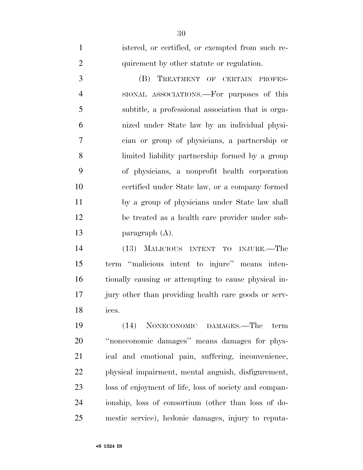| $\mathbf{1}$   | istered, or certified, or exempted from such re-     |
|----------------|------------------------------------------------------|
| $\overline{2}$ | quirement by other statute or regulation.            |
| 3              | (B) TREATMENT OF CERTAIN PROFES-                     |
| $\overline{4}$ | SIONAL ASSOCIATIONS.—For purposes of this            |
| 5              | subtitle, a professional association that is orga-   |
| 6              | nized under State law by an individual physi-        |
| $\overline{7}$ | cian or group of physicians, a partnership or        |
| 8              | limited liability partnership formed by a group      |
| 9              | of physicians, a nonprofit health corporation        |
| 10             | certified under State law, or a company formed       |
| 11             | by a group of physicians under State law shall       |
| 12             | be treated as a health care provider under sub-      |
| 13             | paragraph $(A)$ .                                    |
| 14             | (13) MALICIOUS INTENT TO INJURE.—The                 |
| 15             | term "malicious intent to injure" means inten-       |
| 16             | tionally causing or attempting to cause physical in- |
| 17             | jury other than providing health care goods or serv- |

ices.

 (14) NONECONOMIC DAMAGES.—The term ''noneconomic damages'' means damages for phys- ical and emotional pain, suffering, inconvenience, physical impairment, mental anguish, disfigurement, loss of enjoyment of life, loss of society and compan- ionship, loss of consortium (other than loss of do-mestic service), hedonic damages, injury to reputa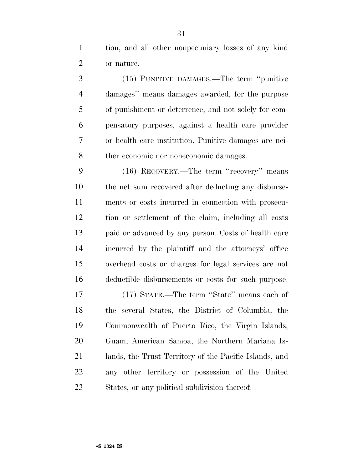tion, and all other nonpecuniary losses of any kind or nature.

 (15) PUNITIVE DAMAGES.—The term ''punitive damages'' means damages awarded, for the purpose of punishment or deterrence, and not solely for com- pensatory purposes, against a health care provider or health care institution. Punitive damages are nei-ther economic nor noneconomic damages.

 (16) RECOVERY.—The term ''recovery'' means the net sum recovered after deducting any disburse- ments or costs incurred in connection with prosecu- tion or settlement of the claim, including all costs paid or advanced by any person. Costs of health care incurred by the plaintiff and the attorneys' office overhead costs or charges for legal services are not deductible disbursements or costs for such purpose.

 (17) STATE.—The term ''State'' means each of the several States, the District of Columbia, the Commonwealth of Puerto Rico, the Virgin Islands, Guam, American Samoa, the Northern Mariana Is- lands, the Trust Territory of the Pacific Islands, and any other territory or possession of the United States, or any political subdivision thereof.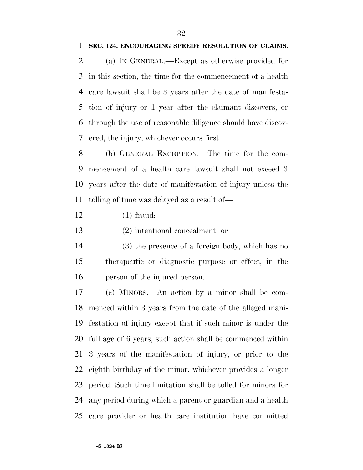#### **SEC. 124. ENCOURAGING SPEEDY RESOLUTION OF CLAIMS.**

 (a) IN GENERAL.—Except as otherwise provided for in this section, the time for the commencement of a health care lawsuit shall be 3 years after the date of manifesta- tion of injury or 1 year after the claimant discovers, or through the use of reasonable diligence should have discov-ered, the injury, whichever occurs first.

 (b) GENERAL EXCEPTION.—The time for the com- mencement of a health care lawsuit shall not exceed 3 years after the date of manifestation of injury unless the tolling of time was delayed as a result of—

(1) fraud;

(2) intentional concealment; or

 (3) the presence of a foreign body, which has no therapeutic or diagnostic purpose or effect, in the person of the injured person.

 (c) MINORS.—An action by a minor shall be com- menced within 3 years from the date of the alleged mani- festation of injury except that if such minor is under the full age of 6 years, such action shall be commenced within 3 years of the manifestation of injury, or prior to the eighth birthday of the minor, whichever provides a longer period. Such time limitation shall be tolled for minors for any period during which a parent or guardian and a health care provider or health care institution have committed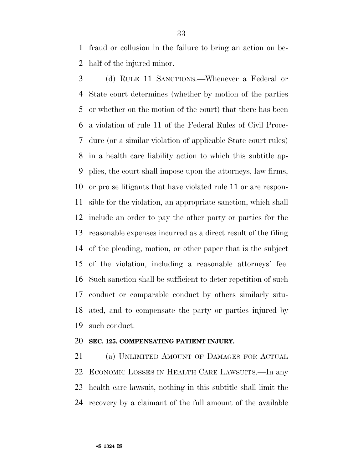fraud or collusion in the failure to bring an action on be-half of the injured minor.

 (d) RULE 11 SANCTIONS.—Whenever a Federal or State court determines (whether by motion of the parties or whether on the motion of the court) that there has been a violation of rule 11 of the Federal Rules of Civil Proce- dure (or a similar violation of applicable State court rules) in a health care liability action to which this subtitle ap- plies, the court shall impose upon the attorneys, law firms, or pro se litigants that have violated rule 11 or are respon- sible for the violation, an appropriate sanction, which shall include an order to pay the other party or parties for the reasonable expenses incurred as a direct result of the filing of the pleading, motion, or other paper that is the subject of the violation, including a reasonable attorneys' fee. Such sanction shall be sufficient to deter repetition of such conduct or comparable conduct by others similarly situ- ated, and to compensate the party or parties injured by such conduct.

### **SEC. 125. COMPENSATING PATIENT INJURY.**

 (a) UNLIMITED AMOUNT OF DAMAGES FOR ACTUAL ECONOMIC LOSSES IN HEALTH CARE LAWSUITS.—In any health care lawsuit, nothing in this subtitle shall limit the recovery by a claimant of the full amount of the available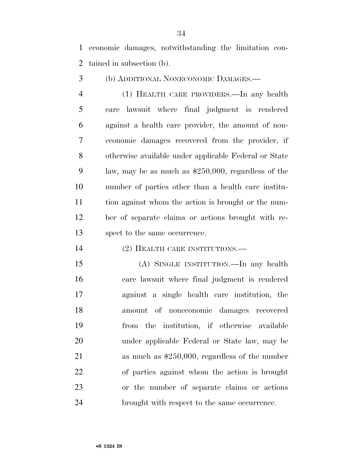economic damages, notwithstanding the limitation con-tained in subsection (b).

(b) ADDITIONAL NONECONOMIC DAMAGES.—

 (1) HEALTH CARE PROVIDERS.—In any health care lawsuit where final judgment is rendered against a health care provider, the amount of non- economic damages recovered from the provider, if otherwise available under applicable Federal or State law, may be as much as \$250,000, regardless of the number of parties other than a health care institu- tion against whom the action is brought or the num- ber of separate claims or actions brought with re-spect to the same occurrence.

(2) HEALTH CARE INSTITUTIONS.—

 (A) SINGLE INSTITUTION.—In any health care lawsuit where final judgment is rendered against a single health care institution, the amount of noneconomic damages recovered from the institution, if otherwise available under applicable Federal or State law, may be as much as \$250,000, regardless of the number of parties against whom the action is brought or the number of separate claims or actions brought with respect to the same occurrence.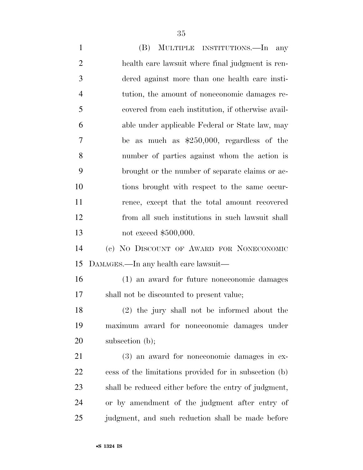(B) MULTIPLE INSTITUTIONS.—In any health care lawsuit where final judgment is ren- dered against more than one health care insti- tution, the amount of noneconomic damages re- covered from each institution, if otherwise avail- able under applicable Federal or State law, may be as much as \$250,000, regardless of the number of parties against whom the action is brought or the number of separate claims or ac- tions brought with respect to the same occur- rence, except that the total amount recovered from all such institutions in such lawsuit shall 13 not exceed \$500,000. (c) NO DISCOUNT OF AWARD FOR NONECONOMIC DAMAGES.—In any health care lawsuit— (1) an award for future noneconomic damages shall not be discounted to present value; (2) the jury shall not be informed about the maximum award for noneconomic damages under 20 subsection (b); (3) an award for noneconomic damages in ex- cess of the limitations provided for in subsection (b) shall be reduced either before the entry of judgment, or by amendment of the judgment after entry of judgment, and such reduction shall be made before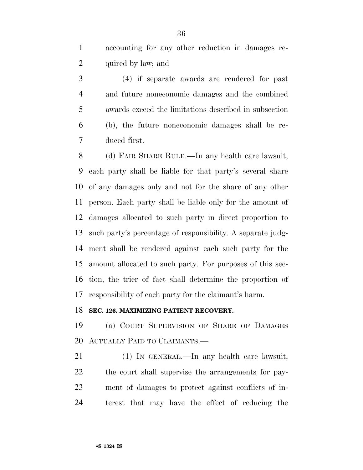accounting for any other reduction in damages re-2 quired by law; and

 (4) if separate awards are rendered for past and future noneconomic damages and the combined awards exceed the limitations described in subsection (b), the future noneconomic damages shall be re-duced first.

 (d) FAIR SHARE RULE.—In any health care lawsuit, each party shall be liable for that party's several share of any damages only and not for the share of any other person. Each party shall be liable only for the amount of damages allocated to such party in direct proportion to such party's percentage of responsibility. A separate judg- ment shall be rendered against each such party for the amount allocated to such party. For purposes of this sec- tion, the trier of fact shall determine the proportion of responsibility of each party for the claimant's harm.

### **SEC. 126. MAXIMIZING PATIENT RECOVERY.**

 (a) COURT SUPERVISION OF SHARE OF DAMAGES ACTUALLY PAID TO CLAIMANTS.—

 (1) IN GENERAL.—In any health care lawsuit, the court shall supervise the arrangements for pay- ment of damages to protect against conflicts of in-terest that may have the effect of reducing the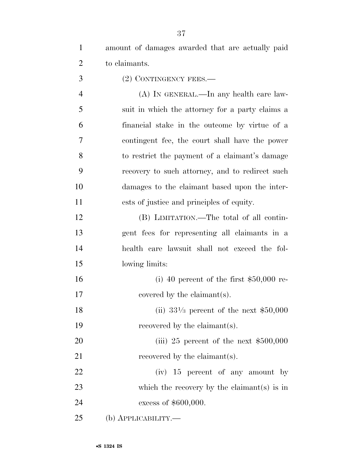amount of damages awarded that are actually paid to claimants.

3 (2) CONTINGENCY FEES.—

 (A) IN GENERAL.—In any health care law- suit in which the attorney for a party claims a financial stake in the outcome by virtue of a contingent fee, the court shall have the power to restrict the payment of a claimant's damage recovery to such attorney, and to redirect such damages to the claimant based upon the inter-ests of justice and principles of equity.

 (B) LIMITATION.—The total of all contin- gent fees for representing all claimants in a health care lawsuit shall not exceed the fol-lowing limits:

 (i) 40 percent of the first \$50,000 re-17 covered by the claimant(s).

18 (ii)  $33\frac{1}{3}$  percent of the next \$50,000 19 recovered by the claimant(s).

20 (iii) 25 percent of the next \$500,000 21 recovered by the claimant(s).

22 (iv) 15 percent of any amount by 23 which the recovery by the claimant(s) is in excess of \$600,000.

(b) APPLICABILITY.—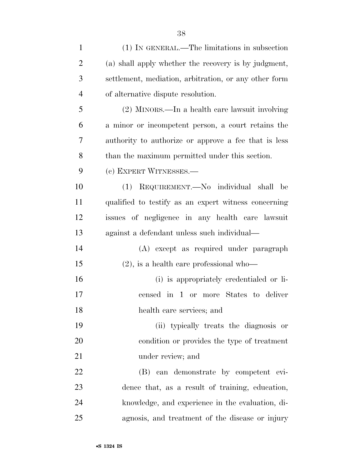| $\mathbf{1}$   | (1) IN GENERAL.—The limitations in subsection         |
|----------------|-------------------------------------------------------|
| 2              | (a) shall apply whether the recovery is by judgment,  |
| 3              | settlement, mediation, arbitration, or any other form |
| $\overline{4}$ | of alternative dispute resolution.                    |
| 5              | (2) MINORS.—In a health care lawsuit involving        |
| 6              | a minor or incompetent person, a court retains the    |
| 7              | authority to authorize or approve a fee that is less  |
| 8              | than the maximum permitted under this section.        |
| 9              | (c) EXPERT WITNESSES.—                                |
| 10             | (1) REQUIREMENT.—No individual shall be               |
| 11             | qualified to testify as an expert witness concerning  |
| 12             | issues of negligence in any health care lawsuit       |
| 13             | against a defendant unless such individual—           |
| 14             | (A) except as required under paragraph                |
| 15             | $(2)$ , is a health care professional who-            |
| 16             | (i) is appropriately credentialed or li-              |
| 17             | censed in 1 or more States to deliver                 |
| 18             | health care services; and                             |
| 19             | (ii) typically treats the diagnosis or                |
| 20             | condition or provides the type of treatment           |
| 21             | under review; and                                     |
| 22             | (B) can demonstrate by competent evi-                 |
| 23             | dence that, as a result of training, education,       |
| 24             | knowledge, and experience in the evaluation, di-      |
| 25             | agnosis, and treatment of the disease or injury       |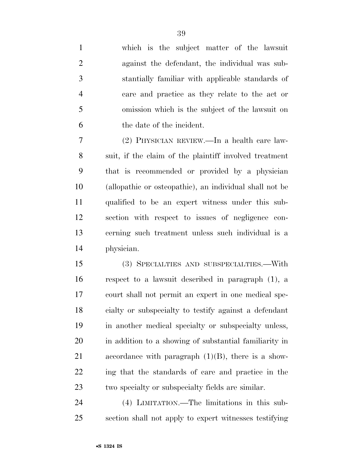which is the subject matter of the lawsuit against the defendant, the individual was sub- stantially familiar with applicable standards of care and practice as they relate to the act or omission which is the subject of the lawsuit on the date of the incident.

 (2) PHYSICIAN REVIEW.—In a health care law- suit, if the claim of the plaintiff involved treatment that is recommended or provided by a physician (allopathic or osteopathic), an individual shall not be qualified to be an expert witness under this sub- section with respect to issues of negligence con- cerning such treatment unless such individual is a physician.

 (3) SPECIALTIES AND SUBSPECIALTIES.—With respect to a lawsuit described in paragraph (1), a court shall not permit an expert in one medical spe- cialty or subspecialty to testify against a defendant in another medical specialty or subspecialty unless, in addition to a showing of substantial familiarity in 21 accordance with paragraph  $(1)(B)$ , there is a show- ing that the standards of care and practice in the two specialty or subspecialty fields are similar.

 (4) LIMITATION.—The limitations in this sub-section shall not apply to expert witnesses testifying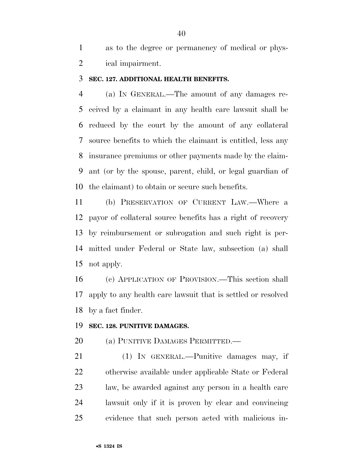|   | as to the degree or permanency of medical or phys- |
|---|----------------------------------------------------|
| 2 | ical impairment.                                   |

#### **SEC. 127. ADDITIONAL HEALTH BENEFITS.**

 (a) IN GENERAL.—The amount of any damages re- ceived by a claimant in any health care lawsuit shall be reduced by the court by the amount of any collateral source benefits to which the claimant is entitled, less any insurance premiums or other payments made by the claim- ant (or by the spouse, parent, child, or legal guardian of the claimant) to obtain or secure such benefits.

 (b) PRESERVATION OF CURRENT LAW.—Where a payor of collateral source benefits has a right of recovery by reimbursement or subrogation and such right is per- mitted under Federal or State law, subsection (a) shall not apply.

 (c) APPLICATION OF PROVISION.—This section shall apply to any health care lawsuit that is settled or resolved by a fact finder.

#### **SEC. 128. PUNITIVE DAMAGES.**

#### 20 (a) PUNITIVE DAMAGES PERMITTED.—

 (1) IN GENERAL.—Punitive damages may, if otherwise available under applicable State or Federal law, be awarded against any person in a health care lawsuit only if it is proven by clear and convincing evidence that such person acted with malicious in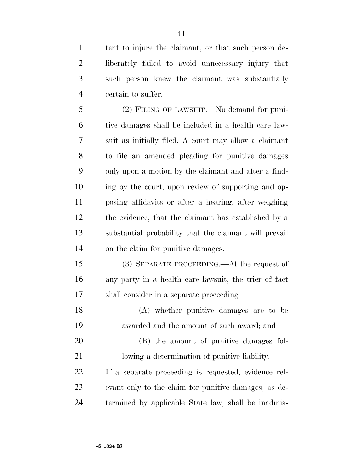tent to injure the claimant, or that such person de- liberately failed to avoid unnecessary injury that such person knew the claimant was substantially certain to suffer.

 (2) FILING OF LAWSUIT.—No demand for puni- tive damages shall be included in a health care law- suit as initially filed. A court may allow a claimant to file an amended pleading for punitive damages only upon a motion by the claimant and after a find- ing by the court, upon review of supporting and op- posing affidavits or after a hearing, after weighing the evidence, that the claimant has established by a substantial probability that the claimant will prevail on the claim for punitive damages.

 (3) SEPARATE PROCEEDING.—At the request of any party in a health care lawsuit, the trier of fact shall consider in a separate proceeding—

 (A) whether punitive damages are to be awarded and the amount of such award; and

 (B) the amount of punitive damages fol-lowing a determination of punitive liability.

 If a separate proceeding is requested, evidence rel- evant only to the claim for punitive damages, as de-termined by applicable State law, shall be inadmis-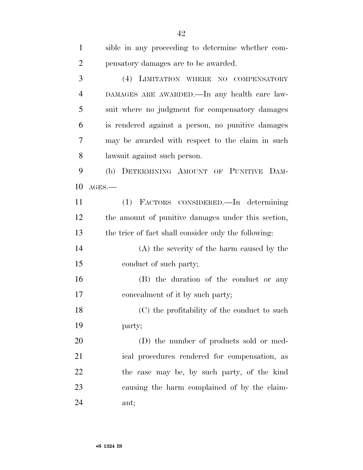| $\mathbf{1}$   | sible in any proceeding to determine whether com-    |
|----------------|------------------------------------------------------|
| $\overline{2}$ | pensatory damages are to be awarded.                 |
| 3              | (4) LIMITATION WHERE NO COMPENSATORY                 |
| $\overline{4}$ | DAMAGES ARE AWARDED.—In any health care law-         |
| 5              | suit where no judgment for compensatory damages      |
| 6              | is rendered against a person, no punitive damages    |
| 7              | may be awarded with respect to the claim in such     |
| 8              | lawsuit against such person.                         |
| 9              | (b) DETERMINING AMOUNT OF PUNITIVE DAM-              |
| 10             | $AGES$ .                                             |
| 11             | (1) FACTORS CONSIDERED.—In determining               |
| 12             | the amount of punitive damages under this section,   |
| 13             | the trier of fact shall consider only the following: |
| 14             | (A) the severity of the harm caused by the           |
| 15             | conduct of such party;                               |
| 16             | (B) the duration of the conduct or any               |
| 17             | concealment of it by such party;                     |
| 18             | (C) the profitability of the conduct to such         |
| 19             | party;                                               |
| 20             | (D) the number of products sold or med-              |
| 21             | ical procedures rendered for compensation, as        |
| 22             | the case may be, by such party, of the kind          |
| 23             | causing the harm complained of by the claim-         |
| 24             | ant;                                                 |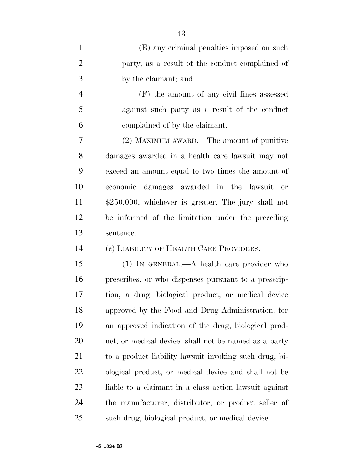| $\mathbf{1}$   | (E) any criminal penalties imposed on such             |
|----------------|--------------------------------------------------------|
| $\overline{2}$ | party, as a result of the conduct complained of        |
| 3              | by the claimant; and                                   |
| $\overline{4}$ | (F) the amount of any civil fines assessed             |
| 5              | against such party as a result of the conduct          |
| 6              | complained of by the claimant.                         |
| 7              | (2) MAXIMUM AWARD.—The amount of punitive              |
| 8              | damages awarded in a health care lawsuit may not       |
| 9              | exceed an amount equal to two times the amount of      |
| 10             | economic damages awarded in the lawsuit or             |
| 11             | $$250,000$ , whichever is greater. The jury shall not  |
| 12             | be informed of the limitation under the preceding      |
| 13             | sentence.                                              |
| 14             | (c) LIABILITY OF HEALTH CARE PROVIDERS.—               |
| 15             | $(1)$ In GENERAL.—A health care provider who           |
| 16             | prescribes, or who dispenses pursuant to a prescrip-   |
| 17             | tion, a drug, biological product, or medical device    |
| 18             | approved by the Food and Drug Administration, for      |
| 19             | an approved indication of the drug, biological prod-   |
| <b>20</b>      | uct, or medical device, shall not be named as a party  |
| 21             | to a product liability lawsuit invoking such drug, bi- |
| 22             | ological product, or medical device and shall not be   |
| 23             | liable to a claimant in a class action lawsuit against |
|                |                                                        |
| 24             | the manufacturer, distributor, or product seller of    |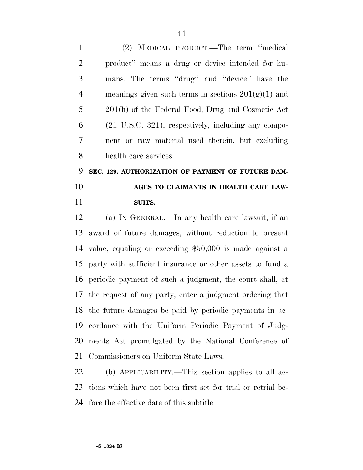(2) MEDICAL PRODUCT.—The term ''medical product'' means a drug or device intended for hu- mans. The terms ''drug'' and ''device'' have the 4 meanings given such terms in sections  $201(g)(1)$  and 201(h) of the Federal Food, Drug and Cosmetic Act (21 U.S.C. 321), respectively, including any compo- nent or raw material used therein, but excluding health care services.

# **SEC. 129. AUTHORIZATION OF PAYMENT OF FUTURE DAM- AGES TO CLAIMANTS IN HEALTH CARE LAW-SUITS.**

 (a) IN GENERAL.—In any health care lawsuit, if an award of future damages, without reduction to present value, equaling or exceeding \$50,000 is made against a party with sufficient insurance or other assets to fund a periodic payment of such a judgment, the court shall, at the request of any party, enter a judgment ordering that the future damages be paid by periodic payments in ac- cordance with the Uniform Periodic Payment of Judg- ments Act promulgated by the National Conference of Commissioners on Uniform State Laws.

 (b) APPLICABILITY.—This section applies to all ac- tions which have not been first set for trial or retrial be-fore the effective date of this subtitle.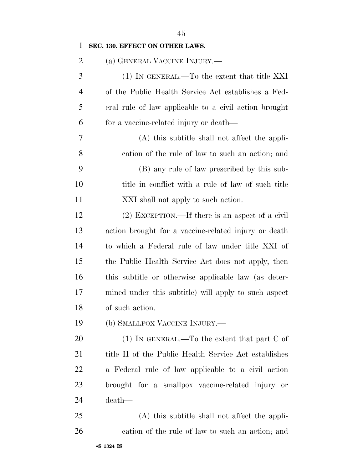(1) IN GENERAL.—To the extent that title XXI of the Public Health Service Act establishes a Fed- eral rule of law applicable to a civil action brought for a vaccine-related injury or death— (A) this subtitle shall not affect the appli- cation of the rule of law to such an action; and (B) any rule of law prescribed by this sub- title in conflict with a rule of law of such title XXI shall not apply to such action. (2) EXCEPTION.—If there is an aspect of a civil action brought for a vaccine-related injury or death to which a Federal rule of law under title XXI of the Public Health Service Act does not apply, then this subtitle or otherwise applicable law (as deter- mined under this subtitle) will apply to such aspect of such action.

(b) SMALLPOX VACCINE INJURY.—

20 (1) IN GENERAL.—To the extent that part C of 21 title II of the Public Health Service Act establishes a Federal rule of law applicable to a civil action brought for a smallpox vaccine-related injury or death—

 (A) this subtitle shall not affect the appli-cation of the rule of law to such an action; and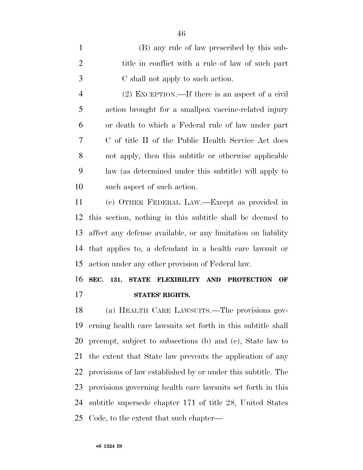| $\mathbf{1}$   | (B) any rule of law prescribed by this sub-           |
|----------------|-------------------------------------------------------|
| 2              | title in conflict with a rule of law of such part     |
| 3              | C shall not apply to such action.                     |
| $\overline{4}$ | $(2)$ EXCEPTION.—If there is an aspect of a civil     |
| 5              | action brought for a smallpox vaccine-related injury  |
| 6              | or death to which a Federal rule of law under part    |
| 7              | C of title II of the Public Health Service Act does   |
| 8              | not apply, then this subtitle or otherwise applicable |
| 9              | law (as determined under this subtitle) will apply to |
| 10             | such aspect of such action.                           |
|                |                                                       |

 (c) OTHER FEDERAL LAW.—Except as provided in this section, nothing in this subtitle shall be deemed to affect any defense available, or any limitation on liability that applies to, a defendant in a health care lawsuit or action under any other provision of Federal law.

## **SEC. 131. STATE FLEXIBILITY AND PROTECTION OF STATES' RIGHTS.**

 (a) HEALTH CARE LAWSUITS.—The provisions gov- erning health care lawsuits set forth in this subtitle shall preempt, subject to subsections (b) and (c), State law to the extent that State law prevents the application of any provisions of law established by or under this subtitle. The provisions governing health care lawsuits set forth in this subtitle supersede chapter 171 of title 28, United States Code, to the extent that such chapter—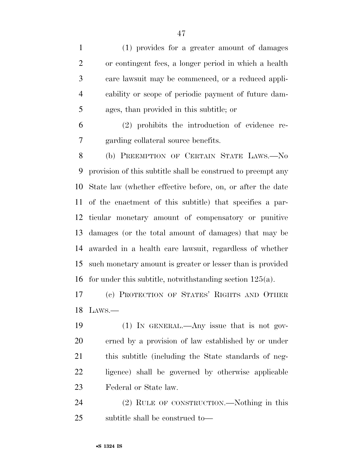(1) provides for a greater amount of damages or contingent fees, a longer period in which a health care lawsuit may be commenced, or a reduced appli- cability or scope of periodic payment of future dam-ages, than provided in this subtitle; or

 (2) prohibits the introduction of evidence re-garding collateral source benefits.

 (b) PREEMPTION OF CERTAIN STATE LAWS.—No provision of this subtitle shall be construed to preempt any State law (whether effective before, on, or after the date of the enactment of this subtitle) that specifies a par- ticular monetary amount of compensatory or punitive damages (or the total amount of damages) that may be awarded in a health care lawsuit, regardless of whether such monetary amount is greater or lesser than is provided for under this subtitle, notwithstanding section 125(a).

 (c) PROTECTION OF STATES' RIGHTS AND OTHER LAWS.—

 (1) IN GENERAL.—Any issue that is not gov- erned by a provision of law established by or under this subtitle (including the State standards of neg- ligence) shall be governed by otherwise applicable Federal or State law.

 (2) RULE OF CONSTRUCTION.—Nothing in this subtitle shall be construed to—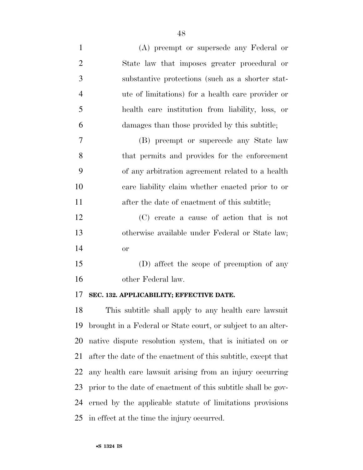| $\mathbf{1}$   | (A) preempt or supersede any Federal or           |
|----------------|---------------------------------------------------|
| $\overline{2}$ | State law that imposes greater procedural or      |
| 3              | substantive protections (such as a shorter stat-  |
| $\overline{4}$ | ute of limitations) for a health care provider or |
| 5              | health care institution from liability, loss, or  |
| 6              | damages than those provided by this subtitle;     |
| 7              | (B) preempt or supercede any State law            |
| 8              | that permits and provides for the enforcement     |
| 9              | of any arbitration agreement related to a health  |
| 10             | care liability claim whether enacted prior to or  |
| 11             | after the date of enactment of this subtitle;     |
| 12             | (C) create a cause of action that is not          |
| 13             | otherwise available under Federal or State law;   |
| 14             | <b>or</b>                                         |
| 15             | (D) affect the scope of preemption of any         |

other Federal law.

#### **SEC. 132. APPLICABILITY; EFFECTIVE DATE.**

 This subtitle shall apply to any health care lawsuit brought in a Federal or State court, or subject to an alter- native dispute resolution system, that is initiated on or after the date of the enactment of this subtitle, except that any health care lawsuit arising from an injury occurring prior to the date of enactment of this subtitle shall be gov- erned by the applicable statute of limitations provisions in effect at the time the injury occurred.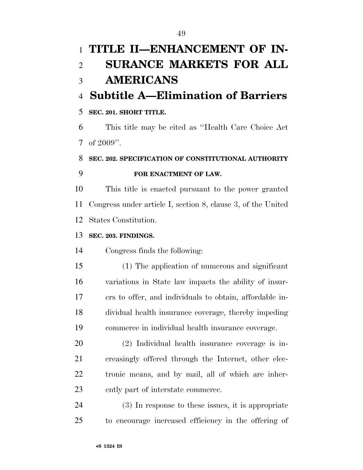# **TITLE II—ENHANCEMENT OF IN- SURANCE MARKETS FOR ALL AMERICANS Subtitle A—Elimination of Barriers SEC. 201. SHORT TITLE.**  This title may be cited as ''Health Care Choice Act 7 of ". **SEC. 202. SPECIFICATION OF CONSTITUTIONAL AUTHORITY FOR ENACTMENT OF LAW.**  This title is enacted pursuant to the power granted Congress under article I, section 8, clause 3, of the United States Constitution. **SEC. 203. FINDINGS.**  Congress finds the following: (1) The application of numerous and significant variations in State law impacts the ability of insur- ers to offer, and individuals to obtain, affordable in- dividual health insurance coverage, thereby impeding commerce in individual health insurance coverage. (2) Individual health insurance coverage is in- creasingly offered through the Internet, other elec- tronic means, and by mail, all of which are inher-ently part of interstate commerce.

 (3) In response to these issues, it is appropriate to encourage increased efficiency in the offering of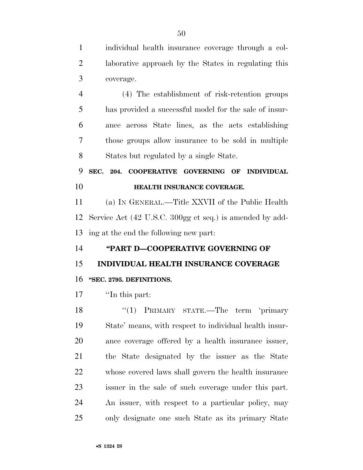individual health insurance coverage through a col- laborative approach by the States in regulating this coverage. (4) The establishment of risk-retention groups has provided a successful model for the sale of insur- ance across State lines, as the acts establishing those groups allow insurance to be sold in multiple States but regulated by a single State. **SEC. 204. COOPERATIVE GOVERNING OF INDIVIDUAL HEALTH INSURANCE COVERAGE.**  (a) IN GENERAL.—Title XXVII of the Public Health Service Act (42 U.S.C. 300gg et seq.) is amended by add- ing at the end the following new part: **''PART D—COOPERATIVE GOVERNING OF INDIVIDUAL HEALTH INSURANCE COVERAGE ''SEC. 2795. DEFINITIONS.**  ''In this part: 18 ''(1) PRIMARY STATE.—The term 'primary State' means, with respect to individual health insur- ance coverage offered by a health insurance issuer, the State designated by the issuer as the State whose covered laws shall govern the health insurance issuer in the sale of such coverage under this part. An issuer, with respect to a particular policy, may only designate one such State as its primary State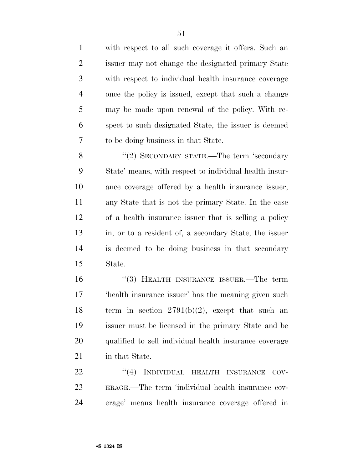with respect to all such coverage it offers. Such an issuer may not change the designated primary State with respect to individual health insurance coverage once the policy is issued, except that such a change may be made upon renewal of the policy. With re- spect to such designated State, the issuer is deemed to be doing business in that State.

8 "(2) SECONDARY STATE.—The term 'secondary State' means, with respect to individual health insur- ance coverage offered by a health insurance issuer, any State that is not the primary State. In the case of a health insurance issuer that is selling a policy in, or to a resident of, a secondary State, the issuer is deemed to be doing business in that secondary State.

 ''(3) HEALTH INSURANCE ISSUER.—The term 'health insurance issuer' has the meaning given such 18 term in section  $2791(b)(2)$ , except that such an issuer must be licensed in the primary State and be qualified to sell individual health insurance coverage in that State.

22 "(4) INDIVIDUAL HEALTH INSURANCE COV- ERAGE.—The term 'individual health insurance cov-erage' means health insurance coverage offered in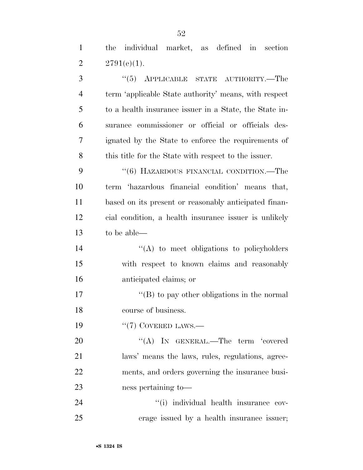the individual market, as defined in section 2  $2791(e)(1)$ .

3 "(5) APPLICABLE STATE AUTHORITY.—The term 'applicable State authority' means, with respect to a health insurance issuer in a State, the State in- surance commissioner or official or officials des- ignated by the State to enforce the requirements of 8 this title for the State with respect to the issuer. 9 "(6) HAZARDOUS FINANCIAL CONDITION.—The term 'hazardous financial condition' means that, based on its present or reasonably anticipated finan- cial condition, a health insurance issuer is unlikely to be able— 14 ''(A) to meet obligations to policyholders with respect to known claims and reasonably anticipated claims; or  $\langle G \rangle$  to pay other obligations in the normal course of business.  $\frac{1}{2}$  COVERED LAWS. 20 "(A) IN GENERAL.—The term 'covered laws' means the laws, rules, regulations, agree- ments, and orders governing the insurance busi- ness pertaining to— ''(i) individual health insurance cov-erage issued by a health insurance issuer;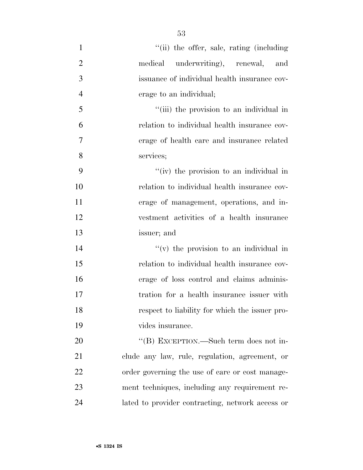| $\mathbf{1}$   | "(ii) the offer, sale, rating (including)        |
|----------------|--------------------------------------------------|
| $\overline{2}$ | medical underwriting), renewal, and              |
| 3              | issuance of individual health insurance cov-     |
| $\overline{4}$ | erage to an individual;                          |
| 5              | "(iii) the provision to an individual in         |
| 6              | relation to individual health insurance cov-     |
| $\overline{7}$ | erage of health care and insurance related       |
| 8              | services;                                        |
| 9              | "(iv) the provision to an individual in          |
| 10             | relation to individual health insurance cov-     |
| 11             | erage of management, operations, and in-         |
| 12             | vestment activities of a health insurance        |
| 13             | issuer; and                                      |
| 14             | $f'(v)$ the provision to an individual in        |
| 15             | relation to individual health insurance cov-     |
| 16             | erage of loss control and claims adminis-        |
| 17             | tration for a health insurance issuer with       |
| 18             | respect to liability for which the issuer pro-   |
| 19             | vides insurance.                                 |
| 20             | "(B) EXCEPTION.—Such term does not in-           |
| 21             | clude any law, rule, regulation, agreement, or   |
| 22             | order governing the use of care or cost manage-  |
| 23             | ment techniques, including any requirement re-   |
| 24             | lated to provider contracting, network access or |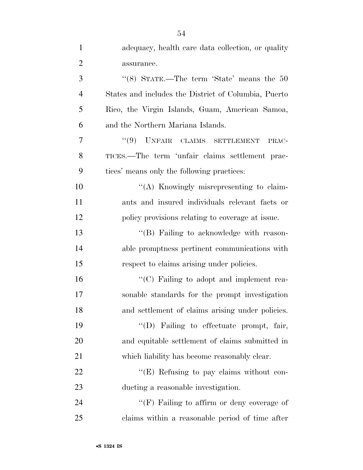| $\mathbf{1}$   | adequacy, health care data collection, or quality             |
|----------------|---------------------------------------------------------------|
| $\overline{2}$ | assurance.                                                    |
| 3              | "(8) STATE.—The term 'State' means the $50$                   |
| $\overline{4}$ | States and includes the District of Columbia, Puerto          |
| 5              | Rico, the Virgin Islands, Guam, American Samoa,               |
| 6              | and the Northern Mariana Islands.                             |
| 7              | UNFAIR CLAIMS SETTLEMENT<br>(9)<br>PRAC-                      |
| 8              | TICES.—The term 'unfair claims settlement prac-               |
| 9              | tices' means only the following practices:                    |
| 10             | "(A) Knowingly misrepresenting to claim-                      |
| 11             | ants and insured individuals relevant facts or                |
| 12             | policy provisions relating to coverage at issue.              |
| 13             | "(B) Failing to acknowledge with reason-                      |
| 14             | able promptness pertinent communications with                 |
| 15             | respect to claims arising under policies.                     |
| 16             | $\lq\lq$ <sup>c</sup> (C) Failing to adopt and implement rea- |
| 17             | sonable standards for the prompt investigation                |
| 18             | and settlement of claims arising under policies.              |
| 19             | "(D) Failing to effectuate prompt, fair,                      |
| 20             | and equitable settlement of claims submitted in               |
| 21             | which liability has become reasonably clear.                  |
| 22             | "(E) Refusing to pay claims without con-                      |
| 23             | ducting a reasonable investigation.                           |
| 24             | "(F) Failing to affirm or deny coverage of                    |
| 25             | claims within a reasonable period of time after               |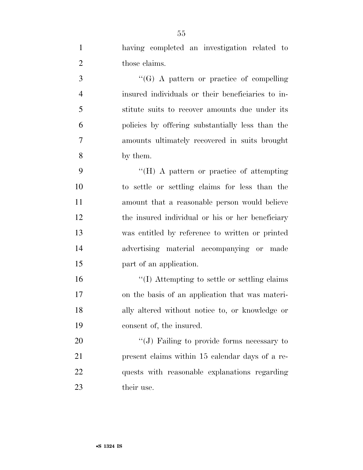having completed an investigation related to 2 those claims.

3 ''(G) A pattern or practice of compelling insured individuals or their beneficiaries to in- stitute suits to recover amounts due under its policies by offering substantially less than the amounts ultimately recovered in suits brought by them.

 ''(H) A pattern or practice of attempting to settle or settling claims for less than the amount that a reasonable person would believe the insured individual or his or her beneficiary was entitled by reference to written or printed advertising material accompanying or made part of an application.

 ''(I) Attempting to settle or settling claims on the basis of an application that was materi- ally altered without notice to, or knowledge or consent of, the insured.

20 "(J) Failing to provide forms necessary to present claims within 15 calendar days of a re- quests with reasonable explanations regarding their use.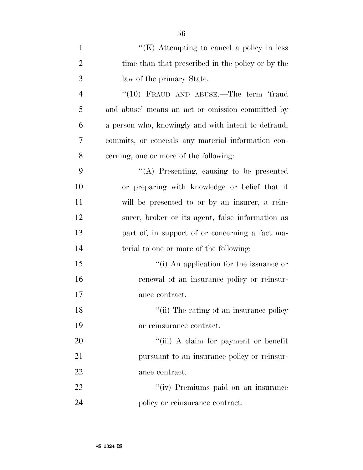| $\mathbf{1}$   | $H(K)$ Attempting to cancel a policy in less        |
|----------------|-----------------------------------------------------|
| $\overline{2}$ | time than that prescribed in the policy or by the   |
| 3              | law of the primary State.                           |
| $\overline{4}$ | " $(10)$ FRAUD AND ABUSE.—The term 'fraud           |
| 5              | and abuse' means an act or omission committed by    |
| 6              | a person who, knowingly and with intent to defraud, |
| 7              | commits, or conceals any material information con-  |
| 8              | cerning, one or more of the following:              |
| 9              | $\lq\lq$ . Presenting, causing to be presented      |
| 10             | or preparing with knowledge or belief that it       |
| 11             | will be presented to or by an insurer, a rein-      |
| 12             | surer, broker or its agent, false information as    |
| 13             | part of, in support of or concerning a fact ma-     |
| 14             | terial to one or more of the following:             |
| 15             | "(i) An application for the issuance or             |
| 16             | renewal of an insurance policy or reinsur-          |
| 17             | ance contract.                                      |
| 18             | "(ii) The rating of an insurance policy             |
| 19             | or reinsurance contract.                            |
| 20             | "(iii) A claim for payment or benefit               |
| 21             | pursuant to an insurance policy or reinsur-         |
| 22             | ance contract.                                      |
| 23             | "(iv) Premiums paid on an insurance                 |
| 24             | policy or reinsurance contract.                     |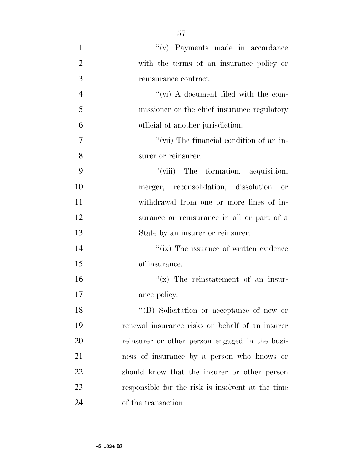| $\mathbf{1}$   | "(v) Payments made in accordance                  |
|----------------|---------------------------------------------------|
| $\overline{2}$ | with the terms of an insurance policy or          |
| 3              | reinsurance contract.                             |
| $\overline{4}$ | "(vi) A document filed with the com-              |
| 5              | missioner or the chief insurance regulatory       |
| 6              | official of another jurisdiction.                 |
| 7              | "(vii) The financial condition of an in-          |
| 8              | surer or reinsurer.                               |
| 9              | "(viii) The formation, acquisition,               |
| 10             | merger, reconsolidation, dissolution<br>or        |
| 11             | withdrawal from one or more lines of in-          |
| 12             | surance or reinsurance in all or part of a        |
| 13             | State by an insurer or reinsurer.                 |
| 14             | "(ix) The issuance of written evidence            |
| 15             | of insurance.                                     |
| 16             | $f(x)$ The reinstatement of an insur-             |
| 17             | ance policy.                                      |
| 18             | "(B) Solicitation or acceptance of new or         |
| 19             | renewal insurance risks on behalf of an insurer   |
| 20             | reinsurer or other person engaged in the busi-    |
| 21             | ness of insurance by a person who knows or        |
| 22             | should know that the insurer or other person      |
| 23             | responsible for the risk is insolvent at the time |
| 24             | of the transaction.                               |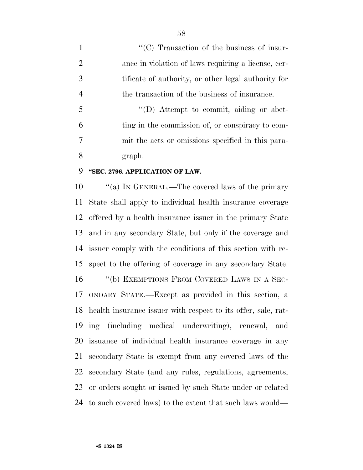$\langle ^{\prime}(C) \rangle$  Transaction of the business of insur- ance in violation of laws requiring a license, cer- tificate of authority, or other legal authority for the transaction of the business of insurance.

 ''(D) Attempt to commit, aiding or abet- ting in the commission of, or conspiracy to com- mit the acts or omissions specified in this para-graph.

#### **''SEC. 2796. APPLICATION OF LAW.**

 $\cdot$  "(a) In GENERAL.—The covered laws of the primary State shall apply to individual health insurance coverage offered by a health insurance issuer in the primary State and in any secondary State, but only if the coverage and issuer comply with the conditions of this section with re- spect to the offering of coverage in any secondary State. 16 "(b) EXEMPTIONS FROM COVERED LAWS IN A SEC- ONDARY STATE.—Except as provided in this section, a health insurance issuer with respect to its offer, sale, rat- ing (including medical underwriting), renewal, and issuance of individual health insurance coverage in any secondary State is exempt from any covered laws of the secondary State (and any rules, regulations, agreements, or orders sought or issued by such State under or related to such covered laws) to the extent that such laws would—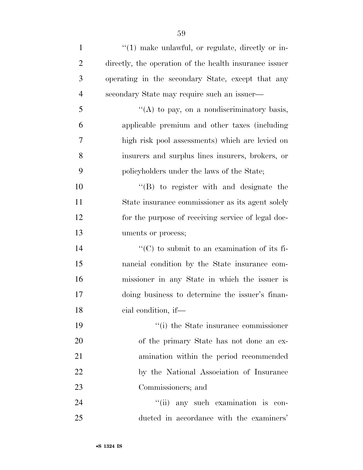| $\mathbf{1}$   | "(1) make unlawful, or regulate, directly or in-       |
|----------------|--------------------------------------------------------|
| $\overline{2}$ | directly, the operation of the health insurance issuer |
| 3              | operating in the secondary State, except that any      |
| $\overline{4}$ | secondary State may require such an issuer—            |
| 5              | "(A) to pay, on a nondiscriminatory basis,             |
| 6              | applicable premium and other taxes (including          |
| $\tau$         | high risk pool assessments) which are levied on        |
| 8              | insurers and surplus lines insurers, brokers, or       |
| 9              | policyholders under the laws of the State;             |
| 10             | $\lq\lq$ to register with and designate the            |
| 11             | State insurance commissioner as its agent solely       |
| 12             | for the purpose of receiving service of legal doc-     |
| 13             | uments or process;                                     |
| 14             | $\lq\lq$ (C) to submit to an examination of its fi-    |
| 15             | nancial condition by the State insurance com-          |
| 16             | missioner in any State in which the issuer is          |
| 17             | doing business to determine the issuer's finan-        |
| 18             | cial condition, if-                                    |
| 19             | "(i) the State insurance commissioner                  |
| 20             | of the primary State has not done an ex-               |
| 21             | amination within the period recommended                |
| 22             | by the National Association of Insurance               |
| 23             | Commissioners; and                                     |
| 24             | "(ii) any such examination is con-                     |
| 25             | ducted in accordance with the examiners'               |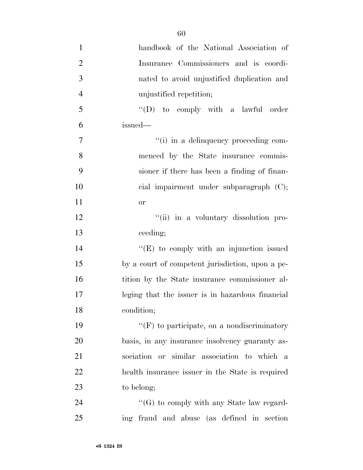| $\mathbf{1}$   | handbook of the National Association of          |
|----------------|--------------------------------------------------|
| $\overline{2}$ | Insurance Commissioners and is coordi-           |
| $\overline{3}$ | nated to avoid unjustified duplication and       |
| $\overline{4}$ | unjustified repetition;                          |
| 5              | $\lq\lq$ to comply with a lawful order           |
| 6              | issued-                                          |
| $\tau$         | "(i) in a delinquency proceeding com-            |
| 8              | menced by the State insurance commis-            |
| 9              | sioner if there has been a finding of finan-     |
| 10             | cial impairment under subparagraph (C);          |
| 11             | or                                               |
| 12             | "(ii) in a voluntary dissolution pro-            |
| 13             | ceeding;                                         |
| 14             | $\lq\lq(E)$ to comply with an injunction issued  |
| 15             | by a court of competent jurisdiction, upon a pe- |
| 16             | tition by the State insurance commissioner al-   |
| 17             | leging that the issuer is in hazardous financial |
| 18             | condition;                                       |
| 19             | $``(F)$ to participate, on a nondiscriminatory   |
| 20             | basis, in any insurance insolvency guaranty as-  |
| 21             | sociation or similar association to which a      |
| 22             | health insurance issuer in the State is required |
| 23             | to belong;                                       |
| 24             | $\lq\lq(G)$ to comply with any State law regard- |
| 25             | ing fraud and abuse (as defined in section       |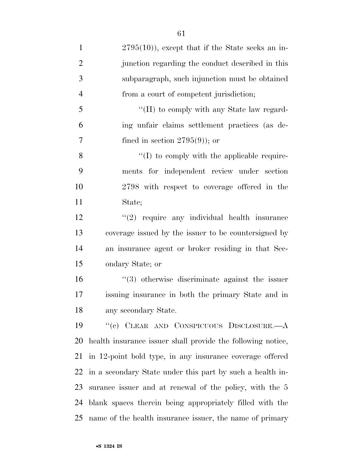2795(10)), except that if the State seeks an in-2 iunction regarding the conduct described in this subparagraph, such injunction must be obtained from a court of competent jurisdiction; ''(H) to comply with any State law regard- ing unfair claims settlement practices (as de-7 fined in section  $2795(9)$ ; or  $\langle (I) \rangle$  to comply with the applicable require- ments for independent review under section 2798 with respect to coverage offered in the State; 12 ''(2) require any individual health insurance coverage issued by the issuer to be countersigned by an insurance agent or broker residing in that Sec- ondary State; or ''(3) otherwise discriminate against the issuer issuing insurance in both the primary State and in any secondary State. ''(c) CLEAR AND CONSPICUOUS DISCLOSURE.—A health insurance issuer shall provide the following notice, in 12-point bold type, in any insurance coverage offered in a secondary State under this part by such a health in- surance issuer and at renewal of the policy, with the 5 blank spaces therein being appropriately filled with the name of the health insurance issuer, the name of primary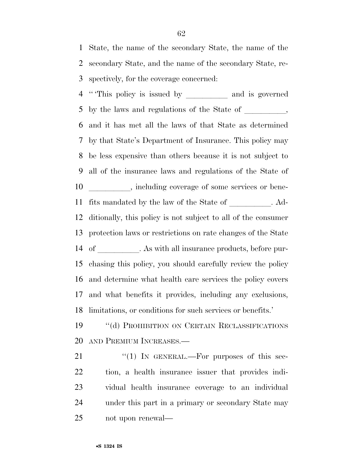State, the name of the secondary State, the name of the secondary State, and the name of the secondary State, re-spectively, for the coverage concerned:

4 "This policy is issued by \_\_\_\_\_\_\_\_\_\_\_ and is governed 5 by the laws and regulations of the State of \_\_\_\_\_\_\_, and it has met all the laws of that State as determined by that State's Department of Insurance. This policy may be less expensive than others because it is not subject to all of the insurance laws and regulations of the State of 10 \_\_\_\_\_\_\_\_, including coverage of some services or bene-11 fits mandated by the law of the State of  $\hspace{1cm}$  . Ad- ditionally, this policy is not subject to all of the consumer protection laws or restrictions on rate changes of the State 14 of . As with all insurance products, before pur- chasing this policy, you should carefully review the policy and determine what health care services the policy covers and what benefits it provides, including any exclusions, limitations, or conditions for such services or benefits.'

 ''(d) PROHIBITION ON CERTAIN RECLASSIFICATIONS AND PREMIUM INCREASES.—

21 "(1) IN GENERAL.—For purposes of this sec- tion, a health insurance issuer that provides indi- vidual health insurance coverage to an individual under this part in a primary or secondary State may not upon renewal—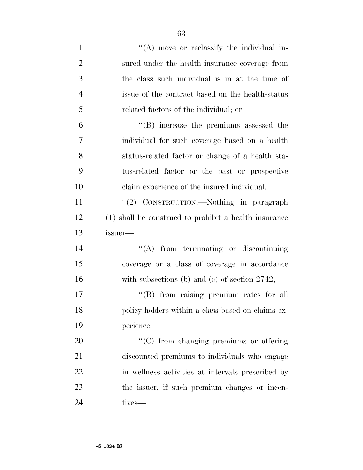| $\mathbf{1}$   | "(A) move or reclassify the individual in-            |
|----------------|-------------------------------------------------------|
| $\overline{2}$ | sured under the health insurance coverage from        |
| 3              | the class such individual is in at the time of        |
| $\overline{4}$ | issue of the contract based on the health-status      |
| 5              | related factors of the individual; or                 |
| 6              | "(B) increase the premiums assessed the               |
| $\overline{7}$ | individual for such coverage based on a health        |
| 8              | status-related factor or change of a health sta-      |
| 9              | tus-related factor or the past or prospective         |
| 10             | claim experience of the insured individual.           |
| 11             | "(2) CONSTRUCTION.—Nothing in paragraph               |
| 12             | (1) shall be construed to prohibit a health insurance |
| 13             | issuer-                                               |
| 14             | $\lq\lq$ from terminating or discontinuing            |
| 15             | coverage or a class of coverage in accordance         |
| 16             | with subsections (b) and (c) of section $2742$ ;      |
| 17             | "(B) from raising premium rates for all               |
| 18             |                                                       |
|                | policy holders within a class based on claims ex-     |
| 19             | perience;                                             |
| 20             | "(C) from changing premiums or offering               |
| 21             | discounted premiums to individuals who engage         |
| <u>22</u>      | in wellness activities at intervals prescribed by     |
| 23             | the issuer, if such premium changes or incen-         |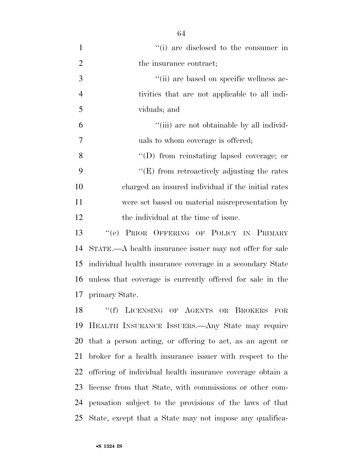| $\mathbf{1}$   | "(i) are disclosed to the consumer in                     |
|----------------|-----------------------------------------------------------|
| $\overline{2}$ | the insurance contract;                                   |
| 3              | "(ii) are based on specific wellness ac-                  |
| $\overline{4}$ | tivities that are not applicable to all indi-             |
| 5              | viduals; and                                              |
| 6              | "(iii) are not obtainable by all individ-                 |
| 7              | uals to whom coverage is offered;                         |
| 8              | $\lq\lq$ from reinstating lapsed coverage; or             |
| 9              | $\lq\lq(E)$ from retroactively adjusting the rates        |
| 10             | charged an insured individual if the initial rates        |
| 11             | were set based on material misrepresentation by           |
| 12             | the individual at the time of issue.                      |
| 13             | "(e) PRIOR OFFERING OF POLICY IN PRIMARY                  |
| 14             | STATE.—A health insurance issuer may not offer for sale   |
| 15             | individual health insurance coverage in a secondary State |
| 16             | unless that coverage is currently offered for sale in the |
| 17             | primary State.                                            |
| 18             | ``(f)<br>LICENSING OF AGENTS OR BROKERS FOR               |
| 19             | HEALTH INSURANCE ISSUERS. Any State may require           |
| 20             | that a person acting, or offering to act, as an agent or  |
| 21             | broker for a health insurance issuer with respect to the  |
| 22             | offering of individual health insurance coverage obtain a |

 license from that State, with commissions or other com- pensation subject to the provisions of the laws of that State, except that a State may not impose any qualifica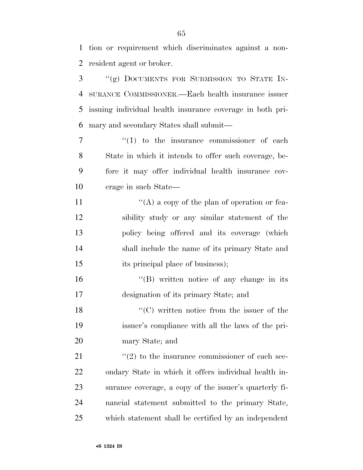tion or requirement which discriminates against a non-resident agent or broker.

 ''(g) DOCUMENTS FOR SUBMISSION TO STATE IN- SURANCE COMMISSIONER.—Each health insurance issuer issuing individual health insurance coverage in both pri-mary and secondary States shall submit—

 $\frac{1}{1}$  to the insurance commissioner of each State in which it intends to offer such coverage, be- fore it may offer individual health insurance cov-erage in such State—

 $\langle (A)$  a copy of the plan of operation or fea- sibility study or any similar statement of the policy being offered and its coverage (which shall include the name of its primary State and 15 its principal place of business);

16 "(B) written notice of any change in its designation of its primary State; and

18 ''(C) written notice from the issuer of the issuer's compliance with all the laws of the pri-mary State; and

21 ''(2) to the insurance commissioner of each sec- ondary State in which it offers individual health in- surance coverage, a copy of the issuer's quarterly fi- nancial statement submitted to the primary State, which statement shall be certified by an independent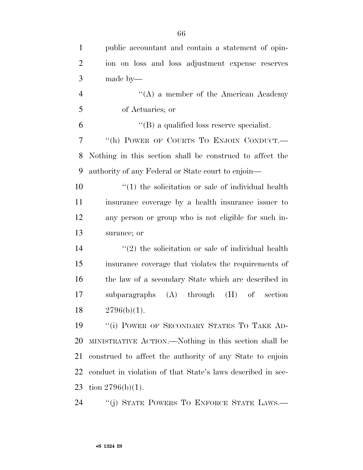| $\mathbf{1}$   | public accountant and contain a statement of opin-          |
|----------------|-------------------------------------------------------------|
| $\overline{2}$ | ion on loss and loss adjustment expense reserves            |
| 3              | made by—                                                    |
| $\overline{4}$ | "(A) a member of the American Academy                       |
| 5              | of Actuaries; or                                            |
| 6              | $\lq\lq (B)$ a qualified loss reserve specialist.           |
| 7              | "(h) POWER OF COURTS TO ENJOIN CONDUCT.-                    |
| 8              | Nothing in this section shall be construed to affect the    |
| 9              | authority of any Federal or State court to enjoin—          |
| 10             | $\cdot$ (1) the solicitation or sale of individual health   |
| 11             | insurance coverage by a health insurance issuer to          |
| 12             | any person or group who is not eligible for such in-        |
| 13             | surance; or                                                 |
| 14             | $\lq(2)$ the solicitation or sale of individual health      |
| 15             | insurance coverage that violates the requirements of        |
| 16             | the law of a secondary State which are described in         |
| 17             | $(A)$ through<br>subparagraphs<br>(H)<br>of<br>section      |
| 18             | $2796(b)(1)$ .                                              |
| 19             | "(i) POWER OF SECONDARY STATES TO TAKE AD-                  |
| 20             | MINISTRATIVE ACTION.—Nothing in this section shall be       |
| 21             | construed to affect the authority of any State to enjoin    |
| 22             | conduct in violation of that State's laws described in sec- |
| 23             | tion $2796(b)(1)$ .                                         |

''(j) STATE POWERS TO ENFORCE STATE LAWS.—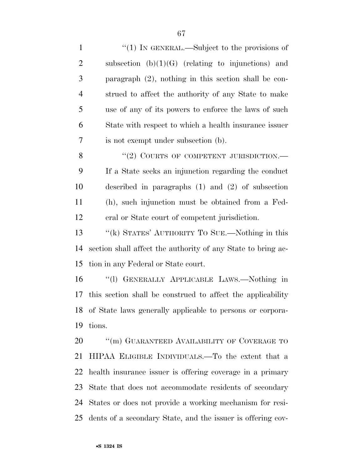| $\mathbf{1}$   | "(1) IN GENERAL.—Subject to the provisions of                |
|----------------|--------------------------------------------------------------|
| $\overline{2}$ | subsection $(b)(1)(G)$ (relating to injunctions) and         |
| 3              | paragraph $(2)$ , nothing in this section shall be con-      |
| $\overline{4}$ | strued to affect the authority of any State to make          |
| 5              | use of any of its powers to enforce the laws of such         |
| 6              | State with respect to which a health insurance issuer        |
| 7              | is not exempt under subsection (b).                          |
| 8              | "(2) COURTS OF COMPETENT JURISDICTION.—                      |
| 9              | If a State seeks an injunction regarding the conduct         |
| 10             | described in paragraphs $(1)$ and $(2)$ of subsection        |
| 11             | (h), such injunction must be obtained from a Fed-            |
| 12             | eral or State court of competent jurisdiction.               |
| 13             | "(k) STATES' AUTHORITY TO SUE.—Nothing in this               |
| 14             | section shall affect the authority of any State to bring ac- |
| 15             | tion in any Federal or State court.                          |
| 16             | "(1) GENERALLY APPLICABLE LAWS.—Nothing in                   |
| 17             | this section shall be construed to affect the applicability  |
|                | 18 of State laws generally applicable to persons or corpora- |
| 19             | tions.                                                       |
| 20             | "(m) GUARANTEED AVAILABILITY OF COVERAGE TO                  |
| 21             | HIPAA ELIGIBLE INDIVIDUALS.—To the extent that a             |
| 22             | health insurance issuer is offering coverage in a primary    |
| 23             | State that does not accommodate residents of secondary       |
| 24             | States or does not provide a working mechanism for resi-     |
| 25             | dents of a secondary State, and the issuer is offering cov-  |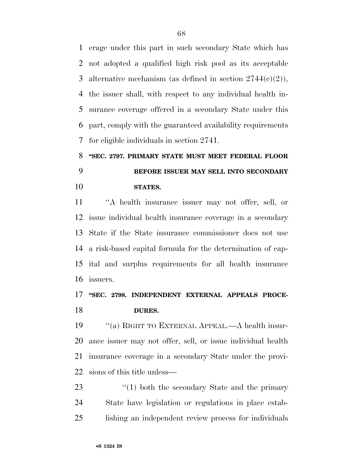erage under this part in such secondary State which has not adopted a qualified high risk pool as its acceptable 3 alternative mechanism (as defined in section  $2744(c)(2)$ ), the issuer shall, with respect to any individual health in- surance coverage offered in a secondary State under this part, comply with the guaranteed availability requirements for eligible individuals in section 2741.

# **''SEC. 2797. PRIMARY STATE MUST MEET FEDERAL FLOOR BEFORE ISSUER MAY SELL INTO SECONDARY STATES.**

 ''A health insurance issuer may not offer, sell, or issue individual health insurance coverage in a secondary State if the State insurance commissioner does not use a risk-based capital formula for the determination of cap- ital and surplus requirements for all health insurance issuers.

### **''SEC. 2798. INDEPENDENT EXTERNAL APPEALS PROCE-DURES.**

 ''(a) RIGHT TO EXTERNAL APPEAL.—A health insur- ance issuer may not offer, sell, or issue individual health insurance coverage in a secondary State under the provi-sions of this title unless—

23  $\frac{1}{2}$   $\frac{1}{2}$  both the secondary State and the primary State have legislation or regulations in place estab-lishing an independent review process for individuals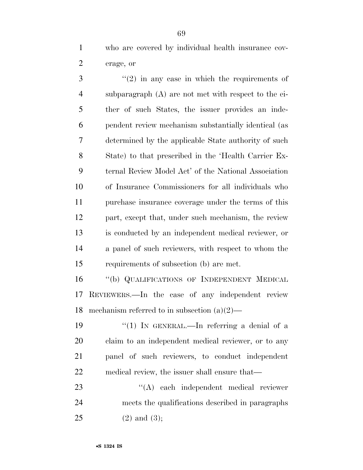who are covered by individual health insurance cov-erage, or

 ''(2) in any case in which the requirements of subparagraph (A) are not met with respect to the ei- ther of such States, the issuer provides an inde- pendent review mechanism substantially identical (as determined by the applicable State authority of such State) to that prescribed in the 'Health Carrier Ex- ternal Review Model Act' of the National Association of Insurance Commissioners for all individuals who purchase insurance coverage under the terms of this part, except that, under such mechanism, the review is conducted by an independent medical reviewer, or a panel of such reviewers, with respect to whom the requirements of subsection (b) are met.

 ''(b) QUALIFICATIONS OF INDEPENDENT MEDICAL REVIEWERS.—In the case of any independent review mechanism referred to in subsection (a)(2)—

 $\frac{1}{2}$  (1) In GENERAL.—In referring a denial of a claim to an independent medical reviewer, or to any panel of such reviewers, to conduct independent medical review, the issuer shall ensure that—

23 ''(A) each independent medical reviewer meets the qualifications described in paragraphs (2) and (3);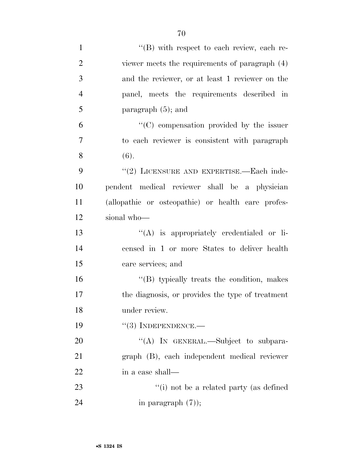| $\mathbf{1}$   | "(B) with respect to each review, each re-         |
|----------------|----------------------------------------------------|
| $\overline{2}$ | viewer meets the requirements of paragraph (4)     |
| 3              | and the reviewer, or at least 1 reviewer on the    |
| $\overline{4}$ | panel, meets the requirements described in         |
| 5              | paragraph $(5)$ ; and                              |
| 6              | "(C) compensation provided by the issuer           |
| $\overline{7}$ | to each reviewer is consistent with paragraph      |
| 8              | (6).                                               |
| 9              | "(2) LICENSURE AND EXPERTISE.—Each inde-           |
| 10             | pendent medical reviewer shall be a physician      |
| 11             | (allopathic or osteopathic) or health care profes- |
| 12             | sional who-                                        |
| 13             | $\lq\lq$ is appropriately credentialed or li-      |
| 14             | censed in 1 or more States to deliver health       |
| 15             | care services; and                                 |
| 16             | $\lq\lq$ typically treats the condition, makes     |
| 17             | the diagnosis, or provides the type of treatment   |
| 18             | under review.                                      |
| 19             | $``(3)$ INDEPENDENCE.—                             |
| 20             | "(A) IN GENERAL.—Subject to subpara-               |
| 21             | graph (B), each independent medical reviewer       |
| 22             | in a case shall—                                   |
| 23             | "(i) not be a related party (as defined            |
| 24             | in paragraph $(7)$ );                              |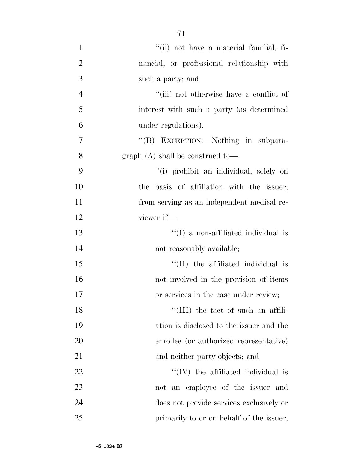1 ''(ii) not have a material familial, fi- nancial, or professional relationship with such a party; and ''(iii) not otherwise have a conflict of interest with such a party (as determined under regulations). 7 "'(B) EXCEPTION.—Nothing in subpara- graph (A) shall be construed to— ''(i) prohibit an individual, solely on the basis of affiliation with the issuer, from serving as an independent medical re- viewer if— ''(I) a non-affiliated individual is 14 not reasonably available;  $\frac{15}{15}$  The affiliated individual is not involved in the provision of items or services in the case under review; 18 ''(III) the fact of such an affili- ation is disclosed to the issuer and the enrollee (or authorized representative) 21 and neither party objects; and  $\text{``(IV)}$  the affiliated individual is

 not an employee of the issuer and does not provide services exclusively or 25 primarily to or on behalf of the issuer;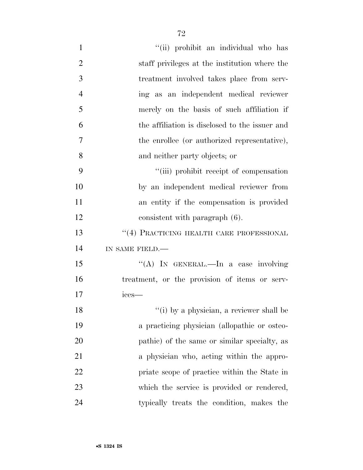| $\mathbf{1}$   | "(ii) prohibit an individual who has           |
|----------------|------------------------------------------------|
| $\overline{2}$ | staff privileges at the institution where the  |
| 3              | treatment involved takes place from serv-      |
| $\overline{4}$ | ing as an independent medical reviewer         |
| 5              | merely on the basis of such affiliation if     |
| 6              | the affiliation is disclosed to the issuer and |
| 7              | the enrollee (or authorized representative),   |
| 8              | and neither party objects; or                  |
| 9              | "(iii) prohibit receipt of compensation        |
| 10             | by an independent medical reviewer from        |
| 11             | an entity if the compensation is provided      |
| 12             | consistent with paragraph (6).                 |
| 13             | $``(4)$ PRACTICING HEALTH CARE PROFESSIONAL    |
| 14             | IN SAME FIELD.-                                |
| 15             | "(A) IN GENERAL.—In a case involving           |
| 16             | treatment, or the provision of items or serv-  |
| 17             | ices-                                          |
| 18             | "(i) by a physician, a reviewer shall be       |
| 19             | a practicing physician (allopathic or osteo-   |
| 20             | pathic) of the same or similar specialty, as   |
| 21             | a physician who, acting within the appro-      |
| 22             | priate scope of practice within the State in   |
| 23             | which the service is provided or rendered,     |
| 24             | typically treats the condition, makes the      |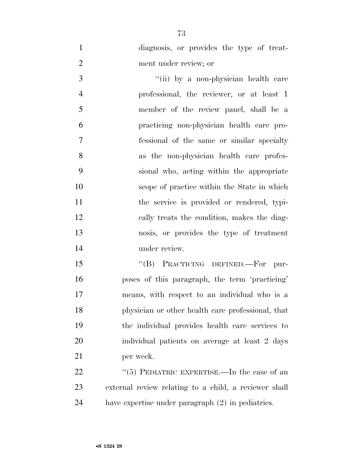diagnosis, or provides the type of treat-ment under review; or

3 ''(ii) by a non-physician health care professional, the reviewer, or at least 1 member of the review panel, shall be a practicing non-physician health care pro- fessional of the same or similar specialty as the non-physician health care profes- sional who, acting within the appropriate scope of practice within the State in which 11 the service is provided or rendered, typi- cally treats the condition, makes the diag- nosis, or provides the type of treatment under review.

15 "(B) PRACTICING DEFINED.—For pur- poses of this paragraph, the term 'practicing' means, with respect to an individual who is a physician or other health care professional, that the individual provides health care services to individual patients on average at least 2 days per week.

22 "(5) PEDIATRIC EXPERTISE.—In the case of an external review relating to a child, a reviewer shall have expertise under paragraph (2) in pediatrics.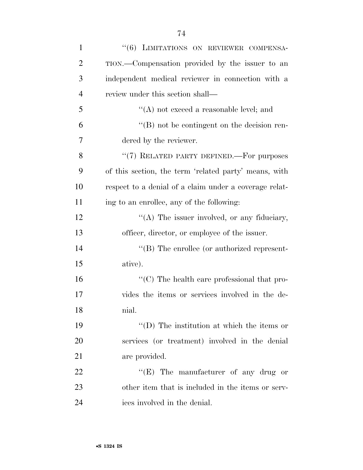| $\mathbf{1}$   | "(6) LIMITATIONS ON REVIEWER COMPENSA-                           |
|----------------|------------------------------------------------------------------|
| $\overline{2}$ | TION.—Compensation provided by the issuer to an                  |
| 3              | independent medical reviewer in connection with a                |
| 4              | review under this section shall—                                 |
| 5              | $\lq\lq$ not exceed a reasonable level; and                      |
| 6              | $\lq\lq (B)$ not be contingent on the decision ren-              |
| 7              | dered by the reviewer.                                           |
| 8              | "(7) RELATED PARTY DEFINED.—For purposes                         |
| 9              | of this section, the term 'related party' means, with            |
| 10             | respect to a denial of a claim under a coverage relat-           |
| 11             | ing to an enrollee, any of the following:                        |
| 12             | "(A) The issuer involved, or any fiduciary,                      |
| 13             | officer, director, or employee of the issuer.                    |
| 14             | $\lq\lq$ (B) The enrollee (or authorized represent-              |
| 15             | ative).                                                          |
| 16             | $\lq\lq$ <sup>c</sup> (C) The health care professional that pro- |
| 17             | vides the items or services involved in the de-                  |
| 18             | nial.                                                            |
| 19             | $\lq\lq$ (D) The institution at which the items or               |
| <b>20</b>      | services (or treatment) involved in the denial                   |
| 21             | are provided.                                                    |
| 22             | " $(E)$ The manufacturer of any drug or                          |
| 23             | other item that is included in the items or serv-                |
| 24             | ices involved in the denial.                                     |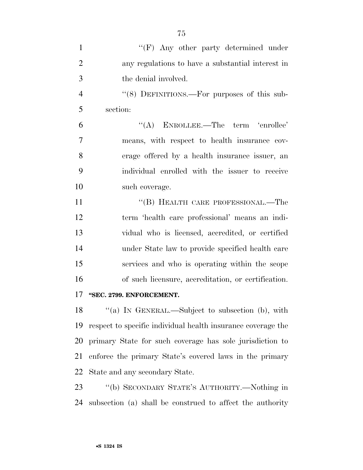| $\mathbf{1}$   | " $(F)$ Any other party determined under                     |
|----------------|--------------------------------------------------------------|
| $\overline{2}$ | any regulations to have a substantial interest in            |
| 3              | the denial involved.                                         |
| $\overline{4}$ | " $(8)$ DEFINITIONS.—For purposes of this sub-               |
| 5              | section:                                                     |
| 6              | $\lq\lq$ ENROLLEE.—The term 'enrollee'                       |
| $\tau$         | means, with respect to health insurance cov-                 |
| 8              | erage offered by a health insurance issuer, an               |
| 9              | individual enrolled with the issuer to receive               |
| 10             | such coverage.                                               |
| 11             | "(B) HEALTH CARE PROFESSIONAL.—The                           |
| 12             | term 'health care professional' means an indi-               |
| 13             | vidual who is licensed, accredited, or certified             |
| 14             | under State law to provide specified health care             |
| 15             | services and who is operating within the scope               |
| 16             | of such licensure, accreditation, or certification.          |
| 17             | "SEC. 2799. ENFORCEMENT.                                     |
| 18             | "(a) IN GENERAL.—Subject to subsection (b), with             |
| 19             | respect to specific individual health insurance coverage the |
| 20             | primary State for such coverage has sole jurisdiction to     |
| 21             | enforce the primary State's covered laws in the primary      |
| 22             | State and any secondary State.                               |
| 23             | "(b) SECONDARY STATE'S AUTHORITY.—Nothing in                 |
| 24             | subsection (a) shall be construed to affect the authority    |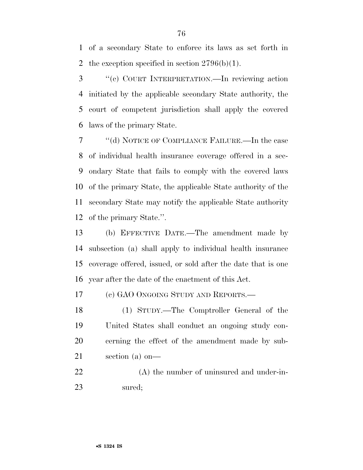of a secondary State to enforce its laws as set forth in 2 the exception specified in section  $2796(b)(1)$ .

 ''(c) COURT INTERPRETATION.—In reviewing action initiated by the applicable secondary State authority, the court of competent jurisdiction shall apply the covered laws of the primary State.

 ''(d) NOTICE OF COMPLIANCE FAILURE.—In the case of individual health insurance coverage offered in a sec- ondary State that fails to comply with the covered laws of the primary State, the applicable State authority of the secondary State may notify the applicable State authority of the primary State.''.

 (b) EFFECTIVE DATE.—The amendment made by subsection (a) shall apply to individual health insurance coverage offered, issued, or sold after the date that is one year after the date of the enactment of this Act.

(c) GAO ONGOING STUDY AND REPORTS.—

 (1) STUDY.—The Comptroller General of the United States shall conduct an ongoing study con- cerning the effect of the amendment made by sub-section (a) on—

 (A) the number of uninsured and under-in-sured;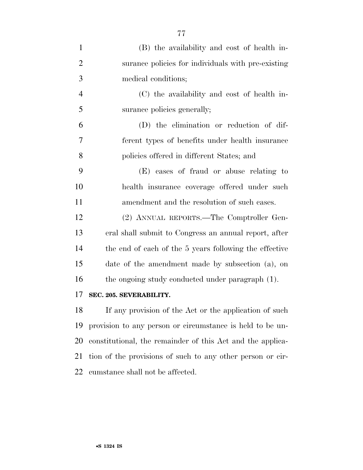| $\mathbf{1}$   | (B) the availability and cost of health in-                |
|----------------|------------------------------------------------------------|
| $\overline{2}$ | surance policies for individuals with pre-existing         |
| 3              | medical conditions;                                        |
| $\overline{4}$ | (C) the availability and cost of health in-                |
| 5              | surance policies generally;                                |
| 6              | (D) the elimination or reduction of dif-                   |
| 7              | ferent types of benefits under health insurance            |
| 8              | policies offered in different States; and                  |
| 9              | (E) cases of fraud or abuse relating to                    |
| 10             | health insurance coverage offered under such               |
| 11             | amendment and the resolution of such cases.                |
| 12             | (2) ANNUAL REPORTS.—The Comptroller Gen-                   |
| 13             | eral shall submit to Congress an annual report, after      |
| 14             | the end of each of the 5 years following the effective     |
| 15             | date of the amendment made by subsection (a), on           |
| 16             | the ongoing study conducted under paragraph (1).           |
| 17             | SEC. 205. SEVERABILITY.                                    |
| 18             | If any provision of the Act or the application of such     |
| 19             | provision to any person or circumstance is held to be un-  |
| 20             | constitutional, the remainder of this Act and the applica- |
| 21             | tion of the provisions of such to any other person or cir- |

cumstance shall not be affected.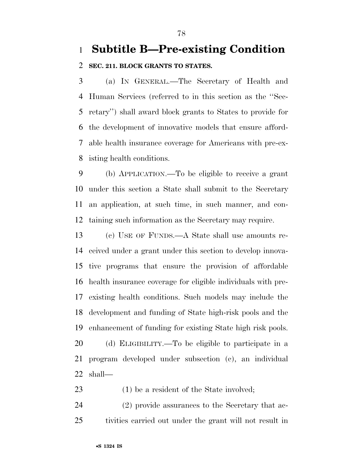## **Subtitle B—Pre-existing Condition**

#### **SEC. 211. BLOCK GRANTS TO STATES.**

 (a) IN GENERAL.—The Secretary of Health and Human Services (referred to in this section as the ''Sec- retary'') shall award block grants to States to provide for the development of innovative models that ensure afford- able health insurance coverage for Americans with pre-ex-isting health conditions.

 (b) APPLICATION.—To be eligible to receive a grant under this section a State shall submit to the Secretary an application, at such time, in such manner, and con-taining such information as the Secretary may require.

 (c) USE OF FUNDS.—A State shall use amounts re- ceived under a grant under this section to develop innova- tive programs that ensure the provision of affordable health insurance coverage for eligible individuals with pre- existing health conditions. Such models may include the development and funding of State high-risk pools and the enhancement of funding for existing State high risk pools. (d) ELIGIBILITY.—To be eligible to participate in a program developed under subsection (c), an individual shall—

23 (1) be a resident of the State involved;

 (2) provide assurances to the Secretary that ac-tivities carried out under the grant will not result in

•**S 1324 IS**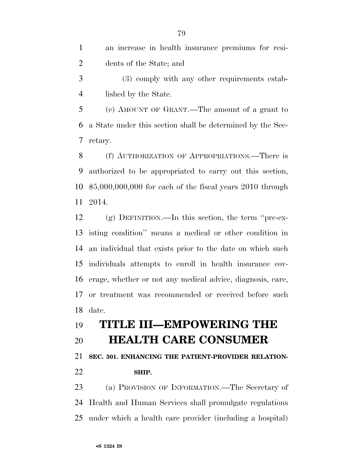an increase in health insurance premiums for resi-dents of the State; and

 (3) comply with any other requirements estab-lished by the State.

 (e) AMOUNT OF GRANT.—The amount of a grant to a State under this section shall be determined by the Sec-retary.

 (f) AUTHORIZATION OF APPROPRIATIONS.—There is authorized to be appropriated to carry out this section, \$5,000,000,000 for each of the fiscal years 2010 through 2014.

 (g) DEFINITION.—In this section, the term ''pre-ex- isting condition'' means a medical or other condition in an individual that exists prior to the date on which such individuals attempts to enroll in health insurance cov- erage, whether or not any medical advice, diagnosis, care, or treatment was recommended or received before such date.

# **TITLE III—EMPOWERING THE HEALTH CARE CONSUMER**

**SEC. 301. ENHANCING THE PATIENT-PROVIDER RELATION-**

**SHIP.** 

 (a) PROVISION OF INFORMATION.—The Secretary of Health and Human Services shall promulgate regulations under which a health care provider (including a hospital)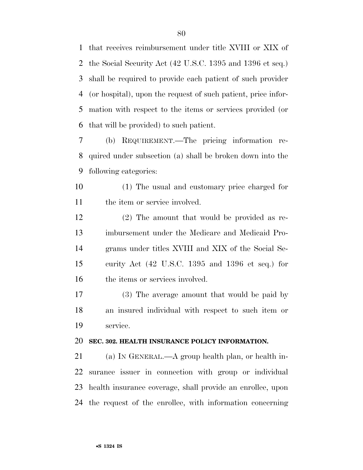that receives reimbursement under title XVIII or XIX of the Social Security Act (42 U.S.C. 1395 and 1396 et seq.) shall be required to provide each patient of such provider (or hospital), upon the request of such patient, price infor- mation with respect to the items or services provided (or that will be provided) to such patient.

 (b) REQUIREMENT.—The pricing information re- quired under subsection (a) shall be broken down into the following categories:

 (1) The usual and customary price charged for the item or service involved.

 (2) The amount that would be provided as re- imbursement under the Medicare and Medicaid Pro- grams under titles XVIII and XIX of the Social Se- curity Act (42 U.S.C. 1395 and 1396 et seq.) for the items or services involved.

 (3) The average amount that would be paid by an insured individual with respect to such item or service.

#### **SEC. 302. HEALTH INSURANCE POLICY INFORMATION.**

 (a) IN GENERAL.—A group health plan, or health in- surance issuer in connection with group or individual health insurance coverage, shall provide an enrollee, upon the request of the enrollee, with information concerning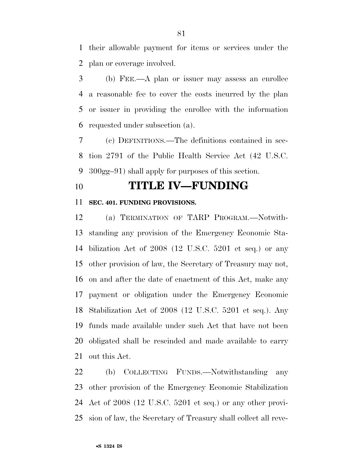their allowable payment for items or services under the plan or coverage involved.

 (b) FEE.—A plan or issuer may assess an enrollee a reasonable fee to cover the costs incurred by the plan or issuer in providing the enrollee with the information requested under subsection (a).

 (c) DEFINITIONS.—The definitions contained in sec- tion 2791 of the Public Health Service Act (42 U.S.C. 300gg–91) shall apply for purposes of this section.

### **TITLE IV—FUNDING**

#### **SEC. 401. FUNDING PROVISIONS.**

 (a) TERMINATION OF TARP PROGRAM.—Notwith- standing any provision of the Emergency Economic Sta- bilization Act of 2008 (12 U.S.C. 5201 et seq.) or any other provision of law, the Secretary of Treasury may not, on and after the date of enactment of this Act, make any payment or obligation under the Emergency Economic Stabilization Act of 2008 (12 U.S.C. 5201 et seq.). Any funds made available under such Act that have not been obligated shall be rescinded and made available to carry out this Act.

 (b) COLLECTING FUNDS.—Notwithstanding any other provision of the Emergency Economic Stabilization Act of 2008 (12 U.S.C. 5201 et seq.) or any other provi-sion of law, the Secretary of Treasury shall collect all reve